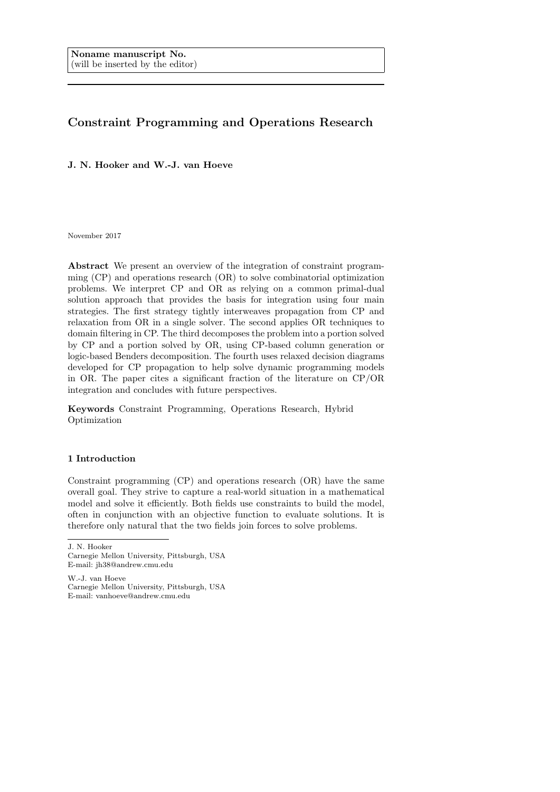# Constraint Programming and Operations Research

J. N. Hooker and W.-J. van Hoeve

November 2017

Abstract We present an overview of the integration of constraint programming (CP) and operations research (OR) to solve combinatorial optimization problems. We interpret CP and OR as relying on a common primal-dual solution approach that provides the basis for integration using four main strategies. The first strategy tightly interweaves propagation from CP and relaxation from OR in a single solver. The second applies OR techniques to domain filtering in CP. The third decomposes the problem into a portion solved by CP and a portion solved by OR, using CP-based column generation or logic-based Benders decomposition. The fourth uses relaxed decision diagrams developed for CP propagation to help solve dynamic programming models in OR. The paper cites a significant fraction of the literature on CP/OR integration and concludes with future perspectives.

Keywords Constraint Programming, Operations Research, Hybrid Optimization

## 1 Introduction

Constraint programming (CP) and operations research (OR) have the same overall goal. They strive to capture a real-world situation in a mathematical model and solve it efficiently. Both fields use constraints to build the model, often in conjunction with an objective function to evaluate solutions. It is therefore only natural that the two fields join forces to solve problems.

J. N. Hooker

W.-J. van Hoeve Carnegie Mellon University, Pittsburgh, USA E-mail: vanhoeve@andrew.cmu.edu

Carnegie Mellon University, Pittsburgh, USA E-mail: jh38@andrew.cmu.edu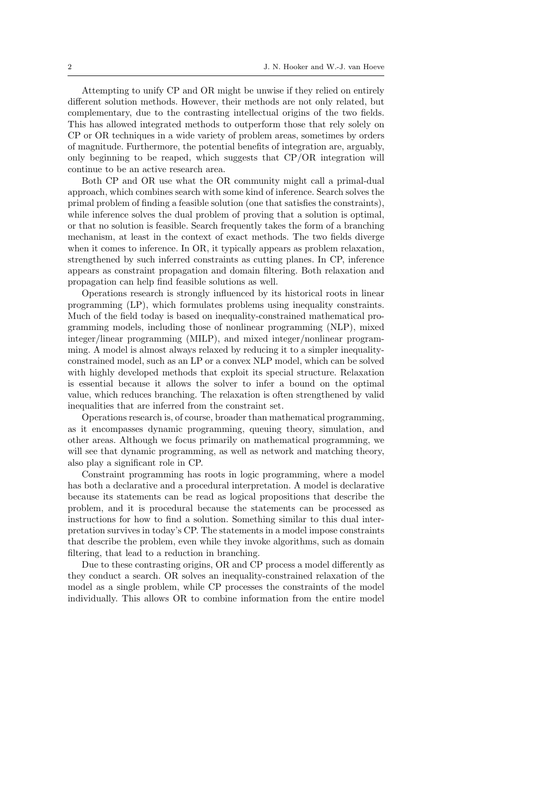Attempting to unify CP and OR might be unwise if they relied on entirely different solution methods. However, their methods are not only related, but complementary, due to the contrasting intellectual origins of the two fields. This has allowed integrated methods to outperform those that rely solely on CP or OR techniques in a wide variety of problem areas, sometimes by orders of magnitude. Furthermore, the potential benefits of integration are, arguably, only beginning to be reaped, which suggests that CP/OR integration will continue to be an active research area.

Both CP and OR use what the OR community might call a primal-dual approach, which combines search with some kind of inference. Search solves the primal problem of finding a feasible solution (one that satisfies the constraints), while inference solves the dual problem of proving that a solution is optimal, or that no solution is feasible. Search frequently takes the form of a branching mechanism, at least in the context of exact methods. The two fields diverge when it comes to inference. In OR, it typically appears as problem relaxation, strengthened by such inferred constraints as cutting planes. In CP, inference appears as constraint propagation and domain filtering. Both relaxation and propagation can help find feasible solutions as well.

Operations research is strongly influenced by its historical roots in linear programming (LP), which formulates problems using inequality constraints. Much of the field today is based on inequality-constrained mathematical programming models, including those of nonlinear programming (NLP), mixed integer/linear programming (MILP), and mixed integer/nonlinear programming. A model is almost always relaxed by reducing it to a simpler inequalityconstrained model, such as an LP or a convex NLP model, which can be solved with highly developed methods that exploit its special structure. Relaxation is essential because it allows the solver to infer a bound on the optimal value, which reduces branching. The relaxation is often strengthened by valid inequalities that are inferred from the constraint set.

Operations research is, of course, broader than mathematical programming, as it encompasses dynamic programming, queuing theory, simulation, and other areas. Although we focus primarily on mathematical programming, we will see that dynamic programming, as well as network and matching theory, also play a significant role in CP.

Constraint programming has roots in logic programming, where a model has both a declarative and a procedural interpretation. A model is declarative because its statements can be read as logical propositions that describe the problem, and it is procedural because the statements can be processed as instructions for how to find a solution. Something similar to this dual interpretation survives in today's CP. The statements in a model impose constraints that describe the problem, even while they invoke algorithms, such as domain filtering, that lead to a reduction in branching.

Due to these contrasting origins, OR and CP process a model differently as they conduct a search. OR solves an inequality-constrained relaxation of the model as a single problem, while CP processes the constraints of the model individually. This allows OR to combine information from the entire model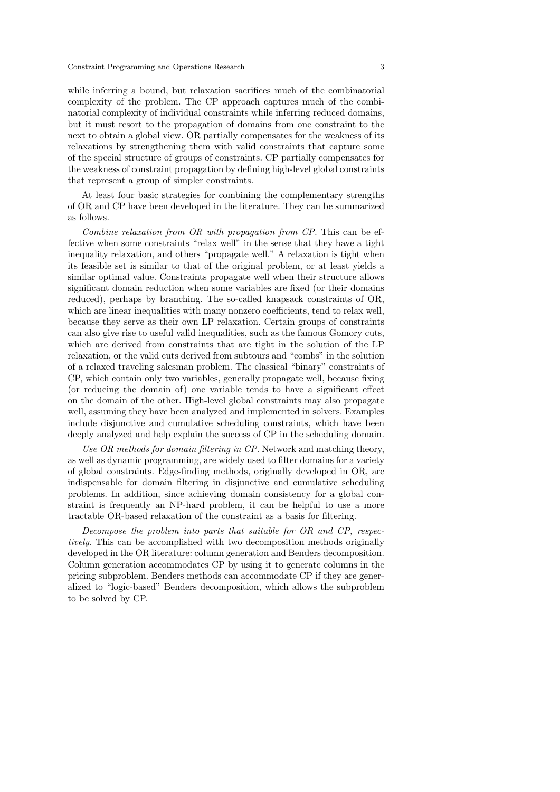while inferring a bound, but relaxation sacrifices much of the combinatorial complexity of the problem. The CP approach captures much of the combinatorial complexity of individual constraints while inferring reduced domains, but it must resort to the propagation of domains from one constraint to the next to obtain a global view. OR partially compensates for the weakness of its relaxations by strengthening them with valid constraints that capture some of the special structure of groups of constraints. CP partially compensates for the weakness of constraint propagation by defining high-level global constraints that represent a group of simpler constraints.

At least four basic strategies for combining the complementary strengths of OR and CP have been developed in the literature. They can be summarized as follows.

Combine relaxation from OR with propagation from CP. This can be effective when some constraints "relax well" in the sense that they have a tight inequality relaxation, and others "propagate well." A relaxation is tight when its feasible set is similar to that of the original problem, or at least yields a similar optimal value. Constraints propagate well when their structure allows significant domain reduction when some variables are fixed (or their domains reduced), perhaps by branching. The so-called knapsack constraints of OR, which are linear inequalities with many nonzero coefficients, tend to relax well, because they serve as their own LP relaxation. Certain groups of constraints can also give rise to useful valid inequalities, such as the famous Gomory cuts, which are derived from constraints that are tight in the solution of the LP relaxation, or the valid cuts derived from subtours and "combs" in the solution of a relaxed traveling salesman problem. The classical "binary" constraints of CP, which contain only two variables, generally propagate well, because fixing (or reducing the domain of) one variable tends to have a significant effect on the domain of the other. High-level global constraints may also propagate well, assuming they have been analyzed and implemented in solvers. Examples include disjunctive and cumulative scheduling constraints, which have been deeply analyzed and help explain the success of CP in the scheduling domain.

Use OR methods for domain filtering in CP. Network and matching theory, as well as dynamic programming, are widely used to filter domains for a variety of global constraints. Edge-finding methods, originally developed in OR, are indispensable for domain filtering in disjunctive and cumulative scheduling problems. In addition, since achieving domain consistency for a global constraint is frequently an NP-hard problem, it can be helpful to use a more tractable OR-based relaxation of the constraint as a basis for filtering.

Decompose the problem into parts that suitable for OR and CP, respectively. This can be accomplished with two decomposition methods originally developed in the OR literature: column generation and Benders decomposition. Column generation accommodates CP by using it to generate columns in the pricing subproblem. Benders methods can accommodate CP if they are generalized to "logic-based" Benders decomposition, which allows the subproblem to be solved by CP.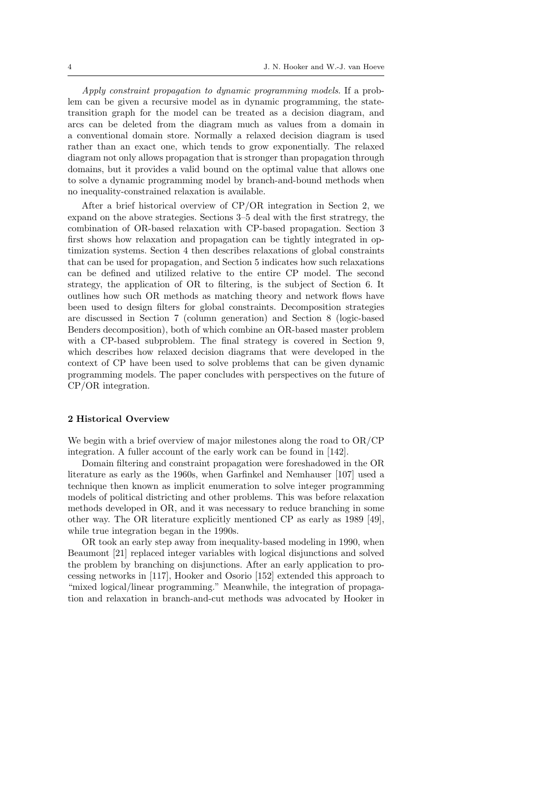Apply constraint propagation to dynamic programming models. If a problem can be given a recursive model as in dynamic programming, the statetransition graph for the model can be treated as a decision diagram, and arcs can be deleted from the diagram much as values from a domain in a conventional domain store. Normally a relaxed decision diagram is used rather than an exact one, which tends to grow exponentially. The relaxed diagram not only allows propagation that is stronger than propagation through domains, but it provides a valid bound on the optimal value that allows one to solve a dynamic programming model by branch-and-bound methods when no inequality-constrained relaxation is available.

After a brief historical overview of CP/OR integration in Section 2, we expand on the above strategies. Sections 3–5 deal with the first stratregy, the combination of OR-based relaxation with CP-based propagation. Section 3 first shows how relaxation and propagation can be tightly integrated in optimization systems. Section 4 then describes relaxations of global constraints that can be used for propagation, and Section 5 indicates how such relaxations can be defined and utilized relative to the entire CP model. The second strategy, the application of OR to filtering, is the subject of Section 6. It outlines how such OR methods as matching theory and network flows have been used to design filters for global constraints. Decomposition strategies are discussed in Section 7 (column generation) and Section 8 (logic-based Benders decomposition), both of which combine an OR-based master problem with a CP-based subproblem. The final strategy is covered in Section 9, which describes how relaxed decision diagrams that were developed in the context of CP have been used to solve problems that can be given dynamic programming models. The paper concludes with perspectives on the future of CP/OR integration.

#### 2 Historical Overview

We begin with a brief overview of major milestones along the road to OR/CP integration. A fuller account of the early work can be found in [142].

Domain filtering and constraint propagation were foreshadowed in the OR literature as early as the 1960s, when Garfinkel and Nemhauser [107] used a technique then known as implicit enumeration to solve integer programming models of political districting and other problems. This was before relaxation methods developed in OR, and it was necessary to reduce branching in some other way. The OR literature explicitly mentioned CP as early as 1989 [49], while true integration began in the 1990s.

OR took an early step away from inequality-based modeling in 1990, when Beaumont [21] replaced integer variables with logical disjunctions and solved the problem by branching on disjunctions. After an early application to processing networks in [117], Hooker and Osorio [152] extended this approach to "mixed logical/linear programming." Meanwhile, the integration of propagation and relaxation in branch-and-cut methods was advocated by Hooker in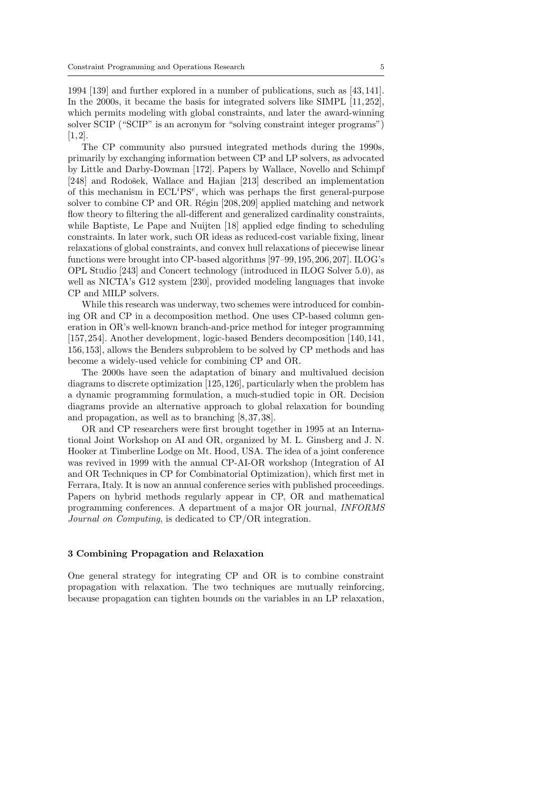1994 [139] and further explored in a number of publications, such as [43, 141]. In the 2000s, it became the basis for integrated solvers like SIMPL [11, 252], which permits modeling with global constraints, and later the award-winning solver SCIP ("SCIP" is an acronym for "solving constraint integer programs")  $[1, 2]$ .

The CP community also pursued integrated methods during the 1990s, primarily by exchanging information between CP and LP solvers, as advocated by Little and Darby-Dowman [172]. Papers by Wallace, Novello and Schimpf [248] and Rodošek, Wallace and Hajian [213] described an implementation of this mechanism in  $ECL^{i}PS^{e}$ , which was perhaps the first general-purpose solver to combine CP and OR. Régin [208, 209] applied matching and network flow theory to filtering the all-different and generalized cardinality constraints, while Baptiste, Le Pape and Nuijten [18] applied edge finding to scheduling constraints. In later work, such OR ideas as reduced-cost variable fixing, linear relaxations of global constraints, and convex hull relaxations of piecewise linear functions were brought into CP-based algorithms [97–99, 195, 206, 207]. ILOG's OPL Studio [243] and Concert technology (introduced in ILOG Solver 5.0), as well as NICTA's G12 system [230], provided modeling languages that invoke CP and MILP solvers.

While this research was underway, two schemes were introduced for combining OR and CP in a decomposition method. One uses CP-based column generation in OR's well-known branch-and-price method for integer programming [157, 254]. Another development, logic-based Benders decomposition [140, 141, 156, 153], allows the Benders subproblem to be solved by CP methods and has become a widely-used vehicle for combining CP and OR.

The 2000s have seen the adaptation of binary and multivalued decision diagrams to discrete optimization [125, 126], particularly when the problem has a dynamic programming formulation, a much-studied topic in OR. Decision diagrams provide an alternative approach to global relaxation for bounding and propagation, as well as to branching [8, 37, 38].

OR and CP researchers were first brought together in 1995 at an International Joint Workshop on AI and OR, organized by M. L. Ginsberg and J. N. Hooker at Timberline Lodge on Mt. Hood, USA. The idea of a joint conference was revived in 1999 with the annual CP-AI-OR workshop (Integration of AI and OR Techniques in CP for Combinatorial Optimization), which first met in Ferrara, Italy. It is now an annual conference series with published proceedings. Papers on hybrid methods regularly appear in CP, OR and mathematical programming conferences. A department of a major OR journal, INFORMS Journal on Computing, is dedicated to CP/OR integration.

#### 3 Combining Propagation and Relaxation

One general strategy for integrating CP and OR is to combine constraint propagation with relaxation. The two techniques are mutually reinforcing, because propagation can tighten bounds on the variables in an LP relaxation,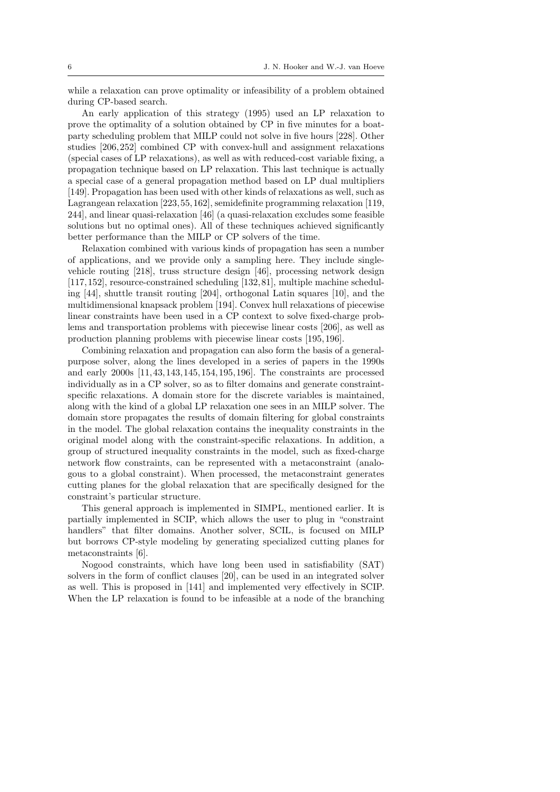while a relaxation can prove optimality or infeasibility of a problem obtained during CP-based search.

An early application of this strategy (1995) used an LP relaxation to prove the optimality of a solution obtained by CP in five minutes for a boatparty scheduling problem that MILP could not solve in five hours [228]. Other studies [206, 252] combined CP with convex-hull and assignment relaxations (special cases of LP relaxations), as well as with reduced-cost variable fixing, a propagation technique based on LP relaxation. This last technique is actually a special case of a general propagation method based on LP dual multipliers [149]. Propagation has been used with other kinds of relaxations as well, such as Lagrangean relaxation [223, 55, 162], semidefinite programming relaxation [119, 244], and linear quasi-relaxation [46] (a quasi-relaxation excludes some feasible solutions but no optimal ones). All of these techniques achieved significantly better performance than the MILP or CP solvers of the time.

Relaxation combined with various kinds of propagation has seen a number of applications, and we provide only a sampling here. They include singlevehicle routing [218], truss structure design [46], processing network design [117, 152], resource-constrained scheduling [132, 81], multiple machine scheduling [44], shuttle transit routing [204], orthogonal Latin squares [10], and the multidimensional knapsack problem [194]. Convex hull relaxations of piecewise linear constraints have been used in a CP context to solve fixed-charge problems and transportation problems with piecewise linear costs [206], as well as production planning problems with piecewise linear costs [195, 196].

Combining relaxation and propagation can also form the basis of a generalpurpose solver, along the lines developed in a series of papers in the 1990s and early 2000s [11, 43, 143, 145, 154, 195, 196]. The constraints are processed individually as in a CP solver, so as to filter domains and generate constraintspecific relaxations. A domain store for the discrete variables is maintained, along with the kind of a global LP relaxation one sees in an MILP solver. The domain store propagates the results of domain filtering for global constraints in the model. The global relaxation contains the inequality constraints in the original model along with the constraint-specific relaxations. In addition, a group of structured inequality constraints in the model, such as fixed-charge network flow constraints, can be represented with a metaconstraint (analogous to a global constraint). When processed, the metaconstraint generates cutting planes for the global relaxation that are specifically designed for the constraint's particular structure.

This general approach is implemented in SIMPL, mentioned earlier. It is partially implemented in SCIP, which allows the user to plug in "constraint handlers" that filter domains. Another solver, SCIL, is focused on MILP but borrows CP-style modeling by generating specialized cutting planes for metaconstraints [6].

Nogood constraints, which have long been used in satisfiability (SAT) solvers in the form of conflict clauses [20], can be used in an integrated solver as well. This is proposed in [141] and implemented very effectively in SCIP. When the LP relaxation is found to be infeasible at a node of the branching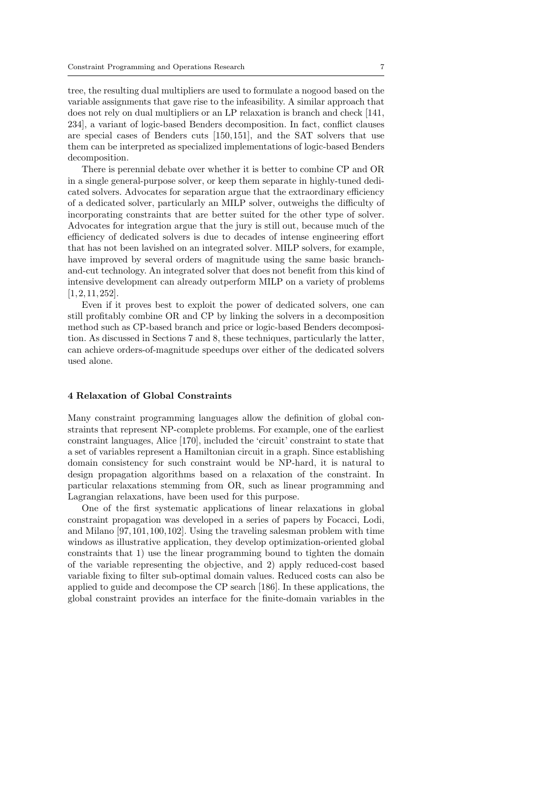tree, the resulting dual multipliers are used to formulate a nogood based on the variable assignments that gave rise to the infeasibility. A similar approach that does not rely on dual multipliers or an LP relaxation is branch and check [141, 234], a variant of logic-based Benders decomposition. In fact, conflict clauses are special cases of Benders cuts [150, 151], and the SAT solvers that use them can be interpreted as specialized implementations of logic-based Benders decomposition.

There is perennial debate over whether it is better to combine CP and OR in a single general-purpose solver, or keep them separate in highly-tuned dedicated solvers. Advocates for separation argue that the extraordinary efficiency of a dedicated solver, particularly an MILP solver, outweighs the difficulty of incorporating constraints that are better suited for the other type of solver. Advocates for integration argue that the jury is still out, because much of the efficiency of dedicated solvers is due to decades of intense engineering effort that has not been lavished on an integrated solver. MILP solvers, for example, have improved by several orders of magnitude using the same basic branchand-cut technology. An integrated solver that does not benefit from this kind of intensive development can already outperform MILP on a variety of problems  $[1, 2, 11, 252]$ .

Even if it proves best to exploit the power of dedicated solvers, one can still profitably combine OR and CP by linking the solvers in a decomposition method such as CP-based branch and price or logic-based Benders decomposition. As discussed in Sections 7 and 8, these techniques, particularly the latter, can achieve orders-of-magnitude speedups over either of the dedicated solvers used alone.

## 4 Relaxation of Global Constraints

Many constraint programming languages allow the definition of global constraints that represent NP-complete problems. For example, one of the earliest constraint languages, Alice [170], included the 'circuit' constraint to state that a set of variables represent a Hamiltonian circuit in a graph. Since establishing domain consistency for such constraint would be NP-hard, it is natural to design propagation algorithms based on a relaxation of the constraint. In particular relaxations stemming from OR, such as linear programming and Lagrangian relaxations, have been used for this purpose.

One of the first systematic applications of linear relaxations in global constraint propagation was developed in a series of papers by Focacci, Lodi, and Milano [97, 101, 100, 102]. Using the traveling salesman problem with time windows as illustrative application, they develop optimization-oriented global constraints that 1) use the linear programming bound to tighten the domain of the variable representing the objective, and 2) apply reduced-cost based variable fixing to filter sub-optimal domain values. Reduced costs can also be applied to guide and decompose the CP search [186]. In these applications, the global constraint provides an interface for the finite-domain variables in the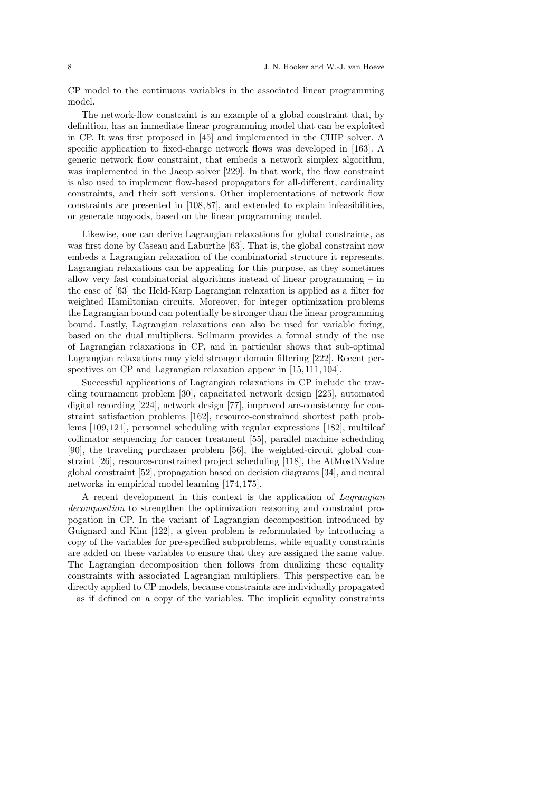CP model to the continuous variables in the associated linear programming model.

The network-flow constraint is an example of a global constraint that, by definition, has an immediate linear programming model that can be exploited in CP. It was first proposed in [45] and implemented in the CHIP solver. A specific application to fixed-charge network flows was developed in [163]. A generic network flow constraint, that embeds a network simplex algorithm, was implemented in the Jacop solver [229]. In that work, the flow constraint is also used to implement flow-based propagators for all-different, cardinality constraints, and their soft versions. Other implementations of network flow constraints are presented in [108, 87], and extended to explain infeasibilities, or generate nogoods, based on the linear programming model.

Likewise, one can derive Lagrangian relaxations for global constraints, as was first done by Caseau and Laburthe [63]. That is, the global constraint now embeds a Lagrangian relaxation of the combinatorial structure it represents. Lagrangian relaxations can be appealing for this purpose, as they sometimes allow very fast combinatorial algorithms instead of linear programming – in the case of [63] the Held-Karp Lagrangian relaxation is applied as a filter for weighted Hamiltonian circuits. Moreover, for integer optimization problems the Lagrangian bound can potentially be stronger than the linear programming bound. Lastly, Lagrangian relaxations can also be used for variable fixing, based on the dual multipliers. Sellmann provides a formal study of the use of Lagrangian relaxations in CP, and in particular shows that sub-optimal Lagrangian relaxations may yield stronger domain filtering [222]. Recent perspectives on CP and Lagrangian relaxation appear in [15, 111, 104].

Successful applications of Lagrangian relaxations in CP include the traveling tournament problem [30], capacitated network design [225], automated digital recording [224], network design [77], improved arc-consistency for constraint satisfaction problems [162], resource-constrained shortest path problems [109, 121], personnel scheduling with regular expressions [182], multileaf collimator sequencing for cancer treatment [55], parallel machine scheduling [90], the traveling purchaser problem [56], the weighted-circuit global constraint [26], resource-constrained project scheduling [118], the AtMostNValue global constraint [52], propagation based on decision diagrams [34], and neural networks in empirical model learning [174, 175].

A recent development in this context is the application of Lagrangian decomposition to strengthen the optimization reasoning and constraint propogation in CP. In the variant of Lagrangian decomposition introduced by Guignard and Kim [122], a given problem is reformulated by introducing a copy of the variables for pre-specified subproblems, while equality constraints are added on these variables to ensure that they are assigned the same value. The Lagrangian decomposition then follows from dualizing these equality constraints with associated Lagrangian multipliers. This perspective can be directly applied to CP models, because constraints are individually propagated – as if defined on a copy of the variables. The implicit equality constraints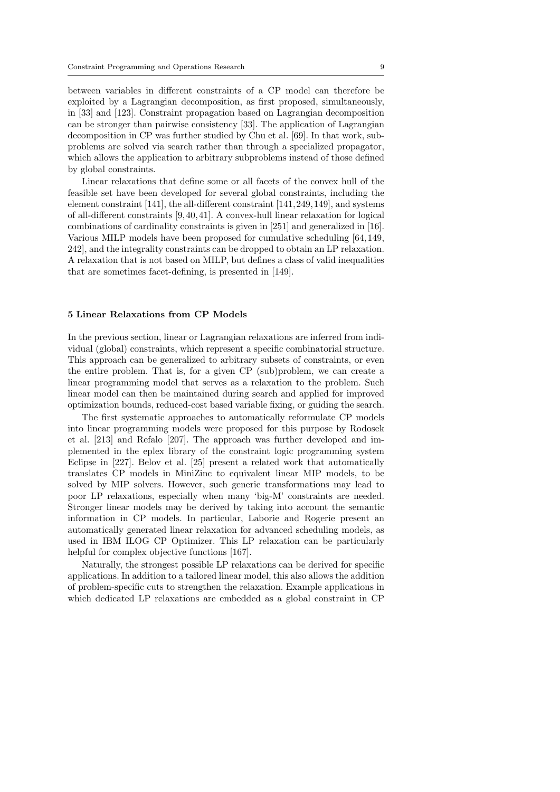between variables in different constraints of a CP model can therefore be exploited by a Lagrangian decomposition, as first proposed, simultaneously, in [33] and [123]. Constraint propagation based on Lagrangian decomposition can be stronger than pairwise consistency [33]. The application of Lagrangian decomposition in CP was further studied by Chu et al. [69]. In that work, subproblems are solved via search rather than through a specialized propagator, which allows the application to arbitrary subproblems instead of those defined by global constraints.

Linear relaxations that define some or all facets of the convex hull of the feasible set have been developed for several global constraints, including the element constraint [141], the all-different constraint [141, 249, 149], and systems of all-different constraints [9, 40, 41]. A convex-hull linear relaxation for logical combinations of cardinality constraints is given in [251] and generalized in [16]. Various MILP models have been proposed for cumulative scheduling [64, 149, 242], and the integrality constraints can be dropped to obtain an LP relaxation. A relaxation that is not based on MILP, but defines a class of valid inequalities that are sometimes facet-defining, is presented in [149].

### 5 Linear Relaxations from CP Models

In the previous section, linear or Lagrangian relaxations are inferred from individual (global) constraints, which represent a specific combinatorial structure. This approach can be generalized to arbitrary subsets of constraints, or even the entire problem. That is, for a given CP (sub)problem, we can create a linear programming model that serves as a relaxation to the problem. Such linear model can then be maintained during search and applied for improved optimization bounds, reduced-cost based variable fixing, or guiding the search.

The first systematic approaches to automatically reformulate CP models into linear programming models were proposed for this purpose by Rodosek et al. [213] and Refalo [207]. The approach was further developed and implemented in the eplex library of the constraint logic programming system Eclipse in [227]. Belov et al. [25] present a related work that automatically translates CP models in MiniZinc to equivalent linear MIP models, to be solved by MIP solvers. However, such generic transformations may lead to poor LP relaxations, especially when many 'big-M' constraints are needed. Stronger linear models may be derived by taking into account the semantic information in CP models. In particular, Laborie and Rogerie present an automatically generated linear relaxation for advanced scheduling models, as used in IBM ILOG CP Optimizer. This LP relaxation can be particularly helpful for complex objective functions [167].

Naturally, the strongest possible LP relaxations can be derived for specific applications. In addition to a tailored linear model, this also allows the addition of problem-specific cuts to strengthen the relaxation. Example applications in which dedicated LP relaxations are embedded as a global constraint in CP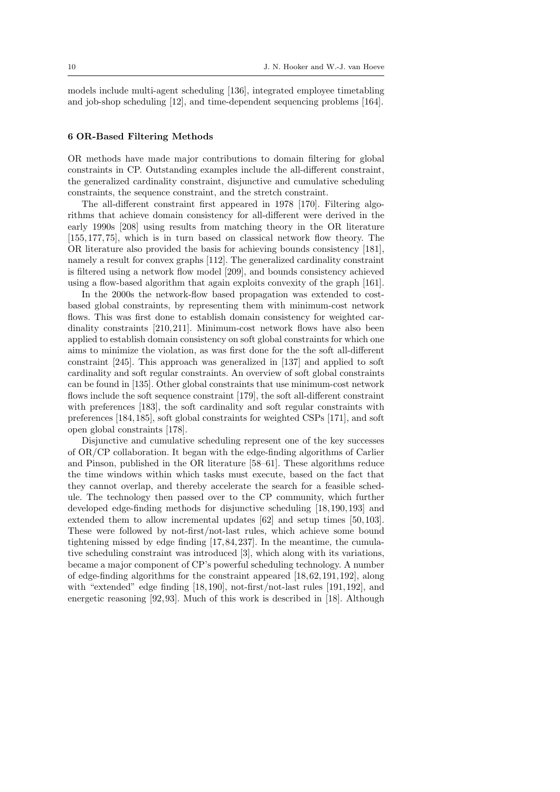models include multi-agent scheduling [136], integrated employee timetabling and job-shop scheduling [12], and time-dependent sequencing problems [164].

#### 6 OR-Based Filtering Methods

OR methods have made major contributions to domain filtering for global constraints in CP. Outstanding examples include the all-different constraint, the generalized cardinality constraint, disjunctive and cumulative scheduling constraints, the sequence constraint, and the stretch constraint.

The all-different constraint first appeared in 1978 [170]. Filtering algorithms that achieve domain consistency for all-different were derived in the early 1990s [208] using results from matching theory in the OR literature [155, 177, 75], which is in turn based on classical network flow theory. The OR literature also provided the basis for achieving bounds consistency [181], namely a result for convex graphs [112]. The generalized cardinality constraint is filtered using a network flow model [209], and bounds consistency achieved using a flow-based algorithm that again exploits convexity of the graph [161].

In the 2000s the network-flow based propagation was extended to costbased global constraints, by representing them with minimum-cost network flows. This was first done to establish domain consistency for weighted cardinality constraints [210, 211]. Minimum-cost network flows have also been applied to establish domain consistency on soft global constraints for which one aims to minimize the violation, as was first done for the the soft all-different constraint [245]. This approach was generalized in [137] and applied to soft cardinality and soft regular constraints. An overview of soft global constraints can be found in [135]. Other global constraints that use minimum-cost network flows include the soft sequence constraint [179], the soft all-different constraint with preferences [183], the soft cardinality and soft regular constraints with preferences [184, 185], soft global constraints for weighted CSPs [171], and soft open global constraints [178].

Disjunctive and cumulative scheduling represent one of the key successes of OR/CP collaboration. It began with the edge-finding algorithms of Carlier and Pinson, published in the OR literature [58–61]. These algorithms reduce the time windows within which tasks must execute, based on the fact that they cannot overlap, and thereby accelerate the search for a feasible schedule. The technology then passed over to the CP community, which further developed edge-finding methods for disjunctive scheduling [18, 190, 193] and extended them to allow incremental updates [62] and setup times [50, 103]. These were followed by not-first/not-last rules, which achieve some bound tightening missed by edge finding [17, 84, 237]. In the meantime, the cumulative scheduling constraint was introduced [3], which along with its variations, became a major component of CP's powerful scheduling technology. A number of edge-finding algorithms for the constraint appeared [18, 62, 191, 192], along with "extended" edge finding [18, 190], not-first/not-last rules [191, 192], and energetic reasoning [92, 93]. Much of this work is described in [18]. Although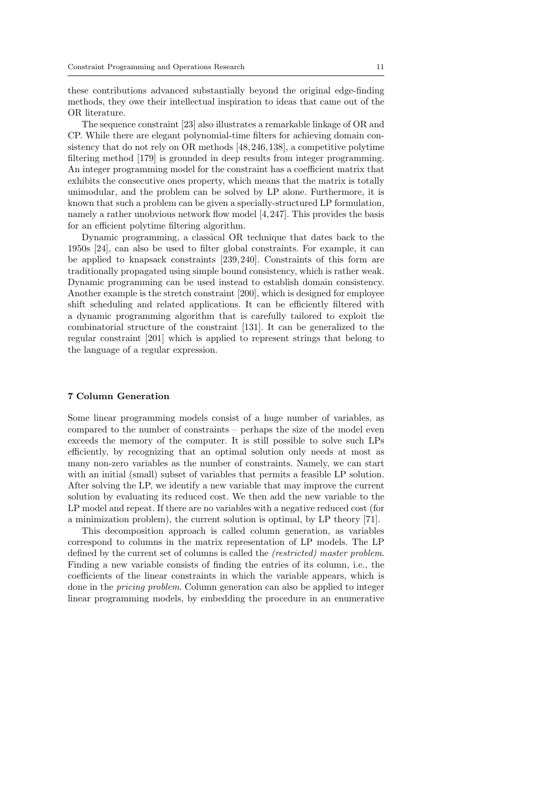these contributions advanced substantially beyond the original edge-finding methods, they owe their intellectual inspiration to ideas that came out of the OR literature.

The sequence constraint [23] also illustrates a remarkable linkage of OR and CP. While there are elegant polynomial-time filters for achieving domain consistency that do not rely on OR methods [48, 246, 138], a competitive polytime filtering method [179] is grounded in deep results from integer programming. An integer programming model for the constraint has a coefficient matrix that exhibits the consecutive ones property, which means that the matrix is totally unimodular, and the problem can be solved by LP alone. Furthermore, it is known that such a problem can be given a specially-structured LP formulation, namely a rather unobvious network flow model [4, 247]. This provides the basis for an efficient polytime filtering algorithm.

Dynamic programming, a classical OR technique that dates back to the 1950s [24], can also be used to filter global constraints. For example, it can be applied to knapsack constraints [239, 240]. Constraints of this form are traditionally propagated using simple bound consistency, which is rather weak. Dynamic programming can be used instead to establish domain consistency. Another example is the stretch constraint [200], which is designed for employee shift scheduling and related applications. It can be efficiently filtered with a dynamic programming algorithm that is carefully tailored to exploit the combinatorial structure of the constraint [131]. It can be generalized to the regular constraint [201] which is applied to represent strings that belong to the language of a regular expression.

## 7 Column Generation

Some linear programming models consist of a huge number of variables, as compared to the number of constraints – perhaps the size of the model even exceeds the memory of the computer. It is still possible to solve such LPs efficiently, by recognizing that an optimal solution only needs at most as many non-zero variables as the number of constraints. Namely, we can start with an initial (small) subset of variables that permits a feasible LP solution. After solving the LP, we identify a new variable that may improve the current solution by evaluating its reduced cost. We then add the new variable to the LP model and repeat. If there are no variables with a negative reduced cost (for a minimization problem), the current solution is optimal, by LP theory [71].

This decomposition approach is called column generation, as variables correspond to columns in the matrix representation of LP models. The LP defined by the current set of columns is called the (restricted) master problem. Finding a new variable consists of finding the entries of its column, i.e., the coefficients of the linear constraints in which the variable appears, which is done in the pricing problem. Column generation can also be applied to integer linear programming models, by embedding the procedure in an enumerative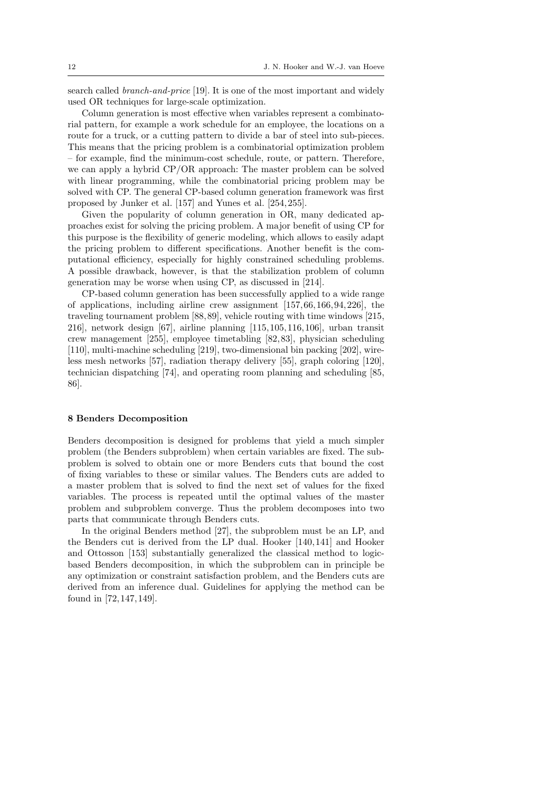search called branch-and-price [19]. It is one of the most important and widely used OR techniques for large-scale optimization.

Column generation is most effective when variables represent a combinatorial pattern, for example a work schedule for an employee, the locations on a route for a truck, or a cutting pattern to divide a bar of steel into sub-pieces. This means that the pricing problem is a combinatorial optimization problem – for example, find the minimum-cost schedule, route, or pattern. Therefore, we can apply a hybrid CP/OR approach: The master problem can be solved with linear programming, while the combinatorial pricing problem may be solved with CP. The general CP-based column generation framework was first proposed by Junker et al. [157] and Yunes et al. [254, 255].

Given the popularity of column generation in OR, many dedicated approaches exist for solving the pricing problem. A major benefit of using CP for this purpose is the flexibility of generic modeling, which allows to easily adapt the pricing problem to different specifications. Another benefit is the computational efficiency, especially for highly constrained scheduling problems. A possible drawback, however, is that the stabilization problem of column generation may be worse when using CP, as discussed in [214].

CP-based column generation has been successfully applied to a wide range of applications, including airline crew assignment [157, 66, 166, 94, 226], the traveling tournament problem [88, 89], vehicle routing with time windows [215, 216], network design [67], airline planning [115, 105, 116, 106], urban transit crew management [255], employee timetabling [82, 83], physician scheduling [110], multi-machine scheduling [219], two-dimensional bin packing [202], wireless mesh networks [57], radiation therapy delivery [55], graph coloring [120], technician dispatching [74], and operating room planning and scheduling [85, 86].

#### 8 Benders Decomposition

Benders decomposition is designed for problems that yield a much simpler problem (the Benders subproblem) when certain variables are fixed. The subproblem is solved to obtain one or more Benders cuts that bound the cost of fixing variables to these or similar values. The Benders cuts are added to a master problem that is solved to find the next set of values for the fixed variables. The process is repeated until the optimal values of the master problem and subproblem converge. Thus the problem decomposes into two parts that communicate through Benders cuts.

In the original Benders method [27], the subproblem must be an LP, and the Benders cut is derived from the LP dual. Hooker [140, 141] and Hooker and Ottosson [153] substantially generalized the classical method to logicbased Benders decomposition, in which the subproblem can in principle be any optimization or constraint satisfaction problem, and the Benders cuts are derived from an inference dual. Guidelines for applying the method can be found in [72, 147, 149].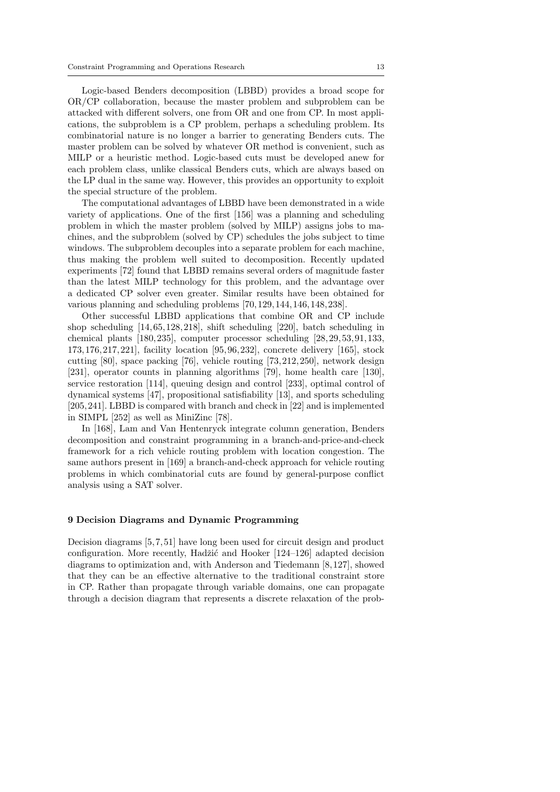Logic-based Benders decomposition (LBBD) provides a broad scope for OR/CP collaboration, because the master problem and subproblem can be attacked with different solvers, one from OR and one from CP. In most applications, the subproblem is a CP problem, perhaps a scheduling problem. Its combinatorial nature is no longer a barrier to generating Benders cuts. The master problem can be solved by whatever OR method is convenient, such as MILP or a heuristic method. Logic-based cuts must be developed anew for each problem class, unlike classical Benders cuts, which are always based on the LP dual in the same way. However, this provides an opportunity to exploit the special structure of the problem.

The computational advantages of LBBD have been demonstrated in a wide variety of applications. One of the first [156] was a planning and scheduling problem in which the master problem (solved by MILP) assigns jobs to machines, and the subproblem (solved by CP) schedules the jobs subject to time windows. The subproblem decouples into a separate problem for each machine, thus making the problem well suited to decomposition. Recently updated experiments [72] found that LBBD remains several orders of magnitude faster than the latest MILP technology for this problem, and the advantage over a dedicated CP solver even greater. Similar results have been obtained for various planning and scheduling problems [70, 129, 144, 146, 148, 238].

Other successful LBBD applications that combine OR and CP include shop scheduling [14, 65, 128, 218], shift scheduling [220], batch scheduling in chemical plants [180, 235], computer processor scheduling [28, 29, 53, 91, 133, 173, 176, 217, 221], facility location [95, 96, 232], concrete delivery [165], stock cutting [80], space packing [76], vehicle routing [73, 212, 250], network design [231], operator counts in planning algorithms [79], home health care [130], service restoration [114], queuing design and control [233], optimal control of dynamical systems [47], propositional satisfiability [13], and sports scheduling [205, 241]. LBBD is compared with branch and check in [22] and is implemented in SIMPL [252] as well as MiniZinc [78].

In [168], Lam and Van Hentenryck integrate column generation, Benders decomposition and constraint programming in a branch-and-price-and-check framework for a rich vehicle routing problem with location congestion. The same authors present in [169] a branch-and-check approach for vehicle routing problems in which combinatorial cuts are found by general-purpose conflict analysis using a SAT solver.

## 9 Decision Diagrams and Dynamic Programming

Decision diagrams [5, 7, 51] have long been used for circuit design and product configuration. More recently, Hadžić and Hooker  $[124-126]$  adapted decision diagrams to optimization and, with Anderson and Tiedemann [8, 127], showed that they can be an effective alternative to the traditional constraint store in CP. Rather than propagate through variable domains, one can propagate through a decision diagram that represents a discrete relaxation of the prob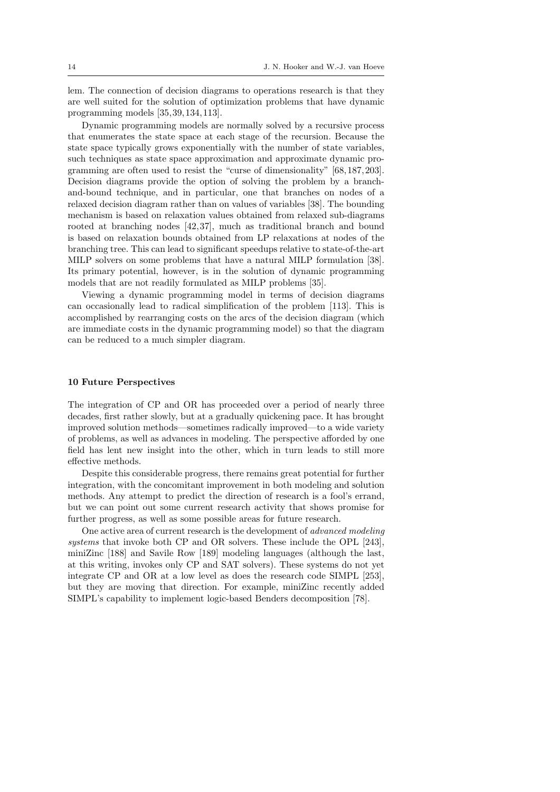lem. The connection of decision diagrams to operations research is that they are well suited for the solution of optimization problems that have dynamic programming models [35, 39, 134, 113].

Dynamic programming models are normally solved by a recursive process that enumerates the state space at each stage of the recursion. Because the state space typically grows exponentially with the number of state variables, such techniques as state space approximation and approximate dynamic programming are often used to resist the "curse of dimensionality" [68, 187, 203]. Decision diagrams provide the option of solving the problem by a branchand-bound technique, and in particular, one that branches on nodes of a relaxed decision diagram rather than on values of variables [38]. The bounding mechanism is based on relaxation values obtained from relaxed sub-diagrams rooted at branching nodes [42,37], much as traditional branch and bound is based on relaxation bounds obtained from LP relaxations at nodes of the branching tree. This can lead to significant speedups relative to state-of-the-art MILP solvers on some problems that have a natural MILP formulation [38]. Its primary potential, however, is in the solution of dynamic programming models that are not readily formulated as MILP problems [35].

Viewing a dynamic programming model in terms of decision diagrams can occasionally lead to radical simplification of the problem [113]. This is accomplished by rearranging costs on the arcs of the decision diagram (which are immediate costs in the dynamic programming model) so that the diagram can be reduced to a much simpler diagram.

#### 10 Future Perspectives

The integration of CP and OR has proceeded over a period of nearly three decades, first rather slowly, but at a gradually quickening pace. It has brought improved solution methods—sometimes radically improved—to a wide variety of problems, as well as advances in modeling. The perspective afforded by one field has lent new insight into the other, which in turn leads to still more effective methods.

Despite this considerable progress, there remains great potential for further integration, with the concomitant improvement in both modeling and solution methods. Any attempt to predict the direction of research is a fool's errand, but we can point out some current research activity that shows promise for further progress, as well as some possible areas for future research.

One active area of current research is the development of advanced modeling systems that invoke both CP and OR solvers. These include the OPL [243], miniZinc [188] and Savile Row [189] modeling languages (although the last, at this writing, invokes only CP and SAT solvers). These systems do not yet integrate CP and OR at a low level as does the research code SIMPL [253], but they are moving that direction. For example, miniZinc recently added SIMPL's capability to implement logic-based Benders decomposition [78].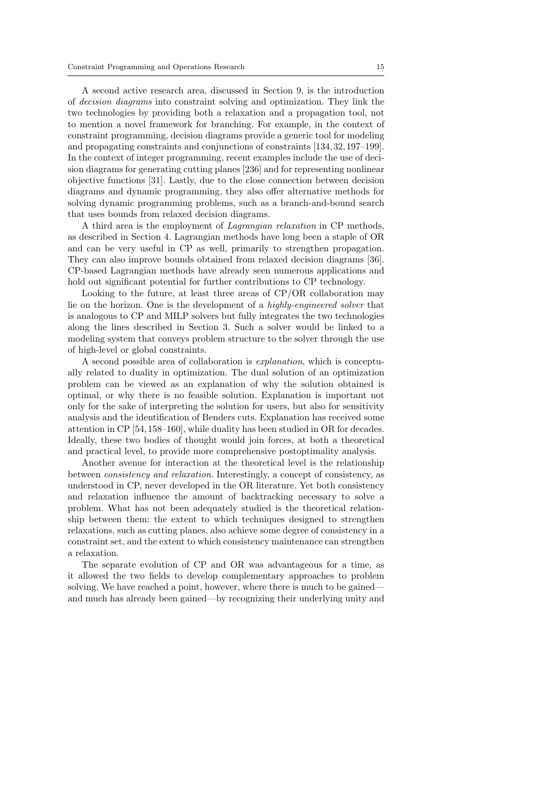A second active research area, discussed in Section 9, is the introduction of decision diagrams into constraint solving and optimization. They link the two technologies by providing both a relaxation and a propagation tool, not to mention a novel framework for branching. For example, in the context of constraint programming, decision diagrams provide a generic tool for modeling and propagating constraints and conjunctions of constraints [134, 32, 197–199]. In the context of integer programming, recent examples include the use of decision diagrams for generating cutting planes [236] and for representing nonlinear objective functions [31]. Lastly, due to the close connection between decision diagrams and dynamic programming, they also offer alternative methods for solving dynamic programming problems, such as a branch-and-bound search that uses bounds from relaxed decision diagrams.

A third area is the employment of Lagrangian relaxation in CP methods, as described in Section 4. Lagrangian methods have long been a staple of OR and can be very useful in CP as well, primarily to strengthen propagation. They can also improve bounds obtained from relaxed decision diagrams [36]. CP-based Lagrangian methods have already seen numerous applications and hold out significant potential for further contributions to CP technology.

Looking to the future, at least three areas of CP/OR collaboration may lie on the horizon. One is the development of a highly-engineered solver that is analogous to CP and MILP solvers but fully integrates the two technologies along the lines described in Section 3. Such a solver would be linked to a modeling system that conveys problem structure to the solver through the use of high-level or global constraints.

A second possible area of collaboration is explanation, which is conceptually related to duality in optimization. The dual solution of an optimization problem can be viewed as an explanation of why the solution obtained is optimal, or why there is no feasible solution. Explanation is important not only for the sake of interpreting the solution for users, but also for sensitivity analysis and the identification of Benders cuts. Explanation has received some attention in CP [54, 158–160], while duality has been studied in OR for decades. Ideally, these two bodies of thought would join forces, at both a theoretical and practical level, to provide more comprehensive postoptimality analysis.

Another avenue for interaction at the theoretical level is the relationship between consistency and relaxation. Interestingly, a concept of consistency, as understood in CP, never developed in the OR literature. Yet both consistency and relaxation influence the amount of backtracking necessary to solve a problem. What has not been adequately studied is the theoretical relationship between them: the extent to which techniques designed to strengthen relaxations, such as cutting planes, also achieve some degree of consistency in a constraint set, and the extent to which consistency maintenance can strengthen a relaxation.

The separate evolution of CP and OR was advantageous for a time, as it allowed the two fields to develop complementary approaches to problem solving. We have reached a point, however, where there is much to be gained and much has already been gained—by recognizing their underlying unity and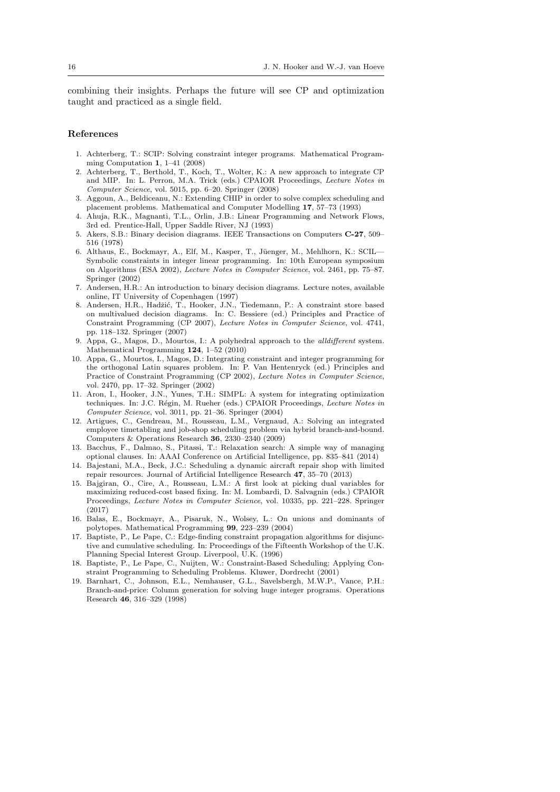combining their insights. Perhaps the future will see CP and optimization taught and practiced as a single field.

#### References

- 1. Achterberg, T.: SCIP: Solving constraint integer programs. Mathematical Programming Computation 1, 1–41 (2008)
- 2. Achterberg, T., Berthold, T., Koch, T., Wolter, K.: A new approach to integrate CP and MIP. In: L. Perron, M.A. Trick (eds.) CPAIOR Proceedings, Lecture Notes in Computer Science, vol. 5015, pp. 6–20. Springer (2008)
- 3. Aggoun, A., Beldiceanu, N.: Extending CHIP in order to solve complex scheduling and placement problems. Mathematical and Computer Modelling 17, 57–73 (1993)
- 4. Ahuja, R.K., Magnanti, T.L., Orlin, J.B.: Linear Programming and Network Flows, 3rd ed. Prentice-Hall, Upper Saddle River, NJ (1993)
- 5. Akers, S.B.: Binary decision diagrams. IEEE Transactions on Computers C-27, 509– 516 (1978)
- 6. Althaus, E., Bockmayr, A., Elf, M., Kasper, T., Jüenger, M., Mehlhorn, K.: SCIL-Symbolic constraints in integer linear programming. In: 10th European symposium on Algorithms (ESA 2002), Lecture Notes in Computer Science, vol. 2461, pp. 75–87. Springer (2002)
- 7. Andersen, H.R.: An introduction to binary decision diagrams. Lecture notes, available online, IT University of Copenhagen (1997)
- 8. Andersen, H.R., Hadžić, T., Hooker, J.N., Tiedemann, P.: A constraint store based on multivalued decision diagrams. In: C. Bessiere (ed.) Principles and Practice of Constraint Programming (CP 2007), Lecture Notes in Computer Science, vol. 4741, pp. 118–132. Springer (2007)
- 9. Appa, G., Magos, D., Mourtos, I.: A polyhedral approach to the alldifferent system. Mathematical Programming 124, 1–52 (2010)
- 10. Appa, G., Mourtos, I., Magos, D.: Integrating constraint and integer programming for the orthogonal Latin squares problem. In: P. Van Hentenryck (ed.) Principles and Practice of Constraint Programming (CP 2002), Lecture Notes in Computer Science, vol. 2470, pp. 17–32. Springer (2002)
- 11. Aron, I., Hooker, J.N., Yunes, T.H.: SIMPL: A system for integrating optimization techniques. In: J.C. Régin, M. Rueher (eds.) CPAIOR Proceedings, Lecture Notes in Computer Science, vol. 3011, pp. 21–36. Springer (2004)
- 12. Artigues, C., Gendreau, M., Rousseau, L.M., Vergnaud, A.: Solving an integrated employee timetabling and job-shop scheduling problem via hybrid branch-and-bound. Computers & Operations Research 36, 2330–2340 (2009)
- 13. Bacchus, F., Dalmao, S., Pitassi, T.: Relaxation search: A simple way of managing optional clauses. In: AAAI Conference on Artificial Intelligence, pp. 835–841 (2014)
- 14. Bajestani, M.A., Beck, J.C.: Scheduling a dynamic aircraft repair shop with limited repair resources. Journal of Artificial Intelligence Research 47, 35–70 (2013)
- 15. Bajgiran, O., Cire, A., Rousseau, L.M.: A first look at picking dual variables for maximizing reduced-cost based fixing. In: M. Lombardi, D. Salvagnin (eds.) CPAIOR Proceedings, Lecture Notes in Computer Science, vol. 10335, pp. 221–228. Springer (2017)
- 16. Balas, E., Bockmayr, A., Pisaruk, N., Wolsey, L.: On unions and dominants of polytopes. Mathematical Programming 99, 223–239 (2004)
- 17. Baptiste, P., Le Pape, C.: Edge-finding constraint propagation algorithms for disjunctive and cumulative scheduling. In: Proceedings of the Fifteenth Workshop of the U.K. Planning Special Interest Group. Liverpool, U.K. (1996)
- 18. Baptiste, P., Le Pape, C., Nuijten, W.: Constraint-Based Scheduling: Applying Constraint Programming to Scheduling Problems. Kluwer, Dordrecht (2001)
- 19. Barnhart, C., Johnson, E.L., Nemhauser, G.L., Savelsbergh, M.W.P., Vance, P.H.: Branch-and-price: Column generation for solving huge integer programs. Operations Research 46, 316–329 (1998)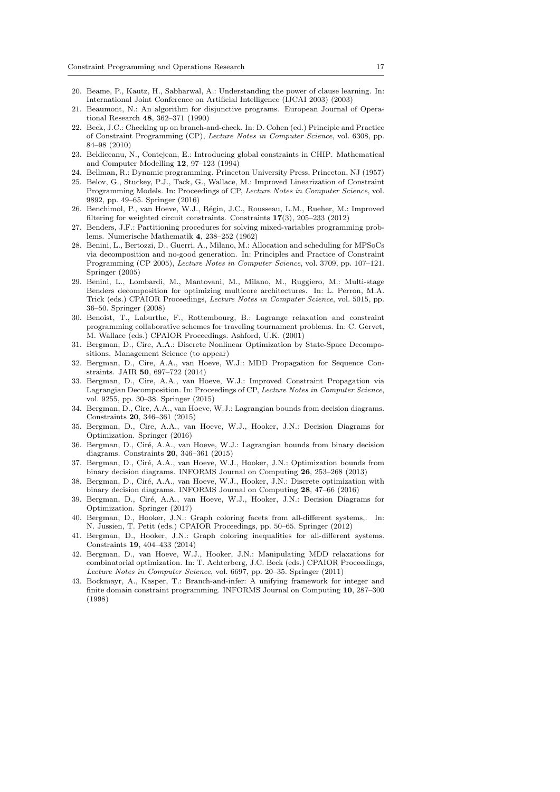- 20. Beame, P., Kautz, H., Sabharwal, A.: Understanding the power of clause learning. In: International Joint Conference on Artificial Intelligence (IJCAI 2003) (2003)
- 21. Beaumont, N.: An algorithm for disjunctive programs. European Journal of Operational Research 48, 362–371 (1990)
- 22. Beck, J.C.: Checking up on branch-and-check. In: D. Cohen (ed.) Principle and Practice of Constraint Programming (CP), Lecture Notes in Computer Science, vol. 6308, pp. 84–98 (2010)
- 23. Beldiceanu, N., Contejean, E.: Introducing global constraints in CHIP. Mathematical and Computer Modelling 12, 97–123 (1994)
- 24. Bellman, R.: Dynamic programming. Princeton University Press, Princeton, NJ (1957)
- 25. Belov, G., Stuckey, P.J., Tack, G., Wallace, M.: Improved Linearization of Constraint Programming Models. In: Proceedings of CP, Lecture Notes in Computer Science, vol. 9892, pp. 49–65. Springer (2016)
- 26. Benchimol, P., van Hoeve, W.J., Régin, J.C., Rousseau, L.M., Rueher, M.: Improved filtering for weighted circuit constraints. Constraints 17(3), 205–233 (2012)
- 27. Benders, J.F.: Partitioning procedures for solving mixed-variables programming problems. Numerische Mathematik 4, 238–252 (1962)
- 28. Benini, L., Bertozzi, D., Guerri, A., Milano, M.: Allocation and scheduling for MPSoCs via decomposition and no-good generation. In: Principles and Practice of Constraint Programming (CP 2005), Lecture Notes in Computer Science, vol. 3709, pp. 107–121. Springer (2005)
- 29. Benini, L., Lombardi, M., Mantovani, M., Milano, M., Ruggiero, M.: Multi-stage Benders decomposition for optimizing multicore architectures. In: L. Perron, M.A. Trick (eds.) CPAIOR Proceedings, Lecture Notes in Computer Science, vol. 5015, pp. 36–50. Springer (2008)
- 30. Benoist, T., Laburthe, F., Rottembourg, B.: Lagrange relaxation and constraint programming collaborative schemes for traveling tournament problems. In: C. Gervet, M. Wallace (eds.) CPAIOR Proceedings. Ashford, U.K. (2001)
- 31. Bergman, D., Cire, A.A.: Discrete Nonlinear Optimization by State-Space Decompositions. Management Science (to appear)
- 32. Bergman, D., Cire, A.A., van Hoeve, W.J.: MDD Propagation for Sequence Constraints. JAIR 50, 697–722 (2014)
- 33. Bergman, D., Cire, A.A., van Hoeve, W.J.: Improved Constraint Propagation via Lagrangian Decomposition. In: Proceedings of CP, Lecture Notes in Computer Science, vol. 9255, pp. 30–38. Springer (2015)
- 34. Bergman, D., Cire, A.A., van Hoeve, W.J.: Lagrangian bounds from decision diagrams. Constraints 20, 346–361 (2015)
- 35. Bergman, D., Cire, A.A., van Hoeve, W.J., Hooker, J.N.: Decision Diagrams for Optimization. Springer (2016)
- 36. Bergman, D., Ciré, A.A., van Hoeve, W.J.: Lagrangian bounds from binary decision diagrams. Constraints 20, 346–361 (2015)
- 37. Bergman, D., Ciré, A.A., van Hoeve, W.J., Hooker, J.N.: Optimization bounds from binary decision diagrams. INFORMS Journal on Computing 26, 253–268 (2013)
- 38. Bergman, D., Ciré, A.A., van Hoeve, W.J., Hooker, J.N.: Discrete optimization with binary decision diagrams. INFORMS Journal on Computing 28, 47–66 (2016)
- 39. Bergman, D., Ciré, A.A., van Hoeve, W.J., Hooker, J.N.: Decision Diagrams for Optimization. Springer (2017)
- 40. Bergman, D., Hooker, J.N.: Graph coloring facets from all-different systems,. In: N. Jussien, T. Petit (eds.) CPAIOR Proceedings, pp. 50–65. Springer (2012)
- 41. Bergman, D., Hooker, J.N.: Graph coloring inequalities for all-different systems. Constraints 19, 404–433 (2014)
- 42. Bergman, D., van Hoeve, W.J., Hooker, J.N.: Manipulating MDD relaxations for combinatorial optimization. In: T. Achterberg, J.C. Beck (eds.) CPAIOR Proceedings, Lecture Notes in Computer Science, vol. 6697, pp. 20–35. Springer (2011)
- 43. Bockmayr, A., Kasper, T.: Branch-and-infer: A unifying framework for integer and finite domain constraint programming. INFORMS Journal on Computing 10, 287–300 (1998)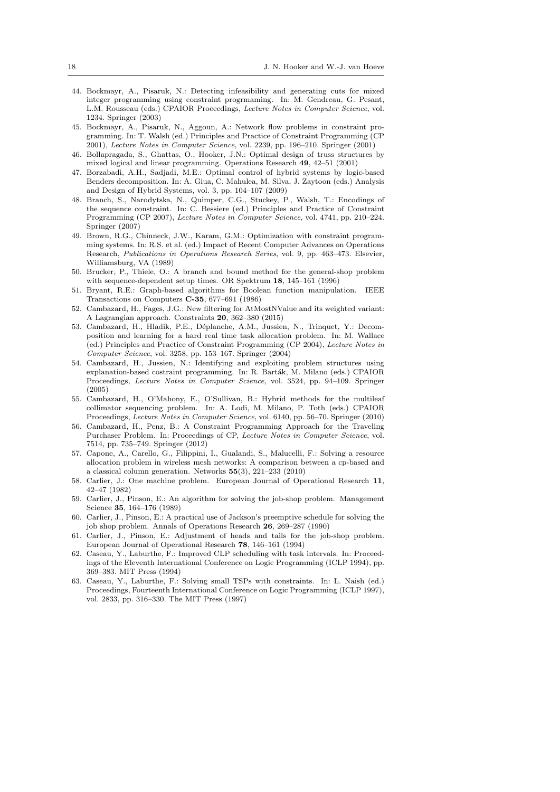- 44. Bockmayr, A., Pisaruk, N.: Detecting infeasibility and generating cuts for mixed integer programming using constraint progrmaming. In: M. Gendreau, G. Pesant, L.M. Rousseau (eds.) CPAIOR Proceedings, Lecture Notes in Computer Science, vol. 1234. Springer (2003)
- 45. Bockmayr, A., Pisaruk, N., Aggoun, A.: Network flow problems in constraint programming. In: T. Walsh (ed.) Principles and Practice of Constraint Programming (CP 2001), Lecture Notes in Computer Science, vol. 2239, pp. 196–210. Springer (2001)
- 46. Bollapragada, S., Ghattas, O., Hooker, J.N.: Optimal design of truss structures by mixed logical and linear programming. Operations Research 49, 42–51 (2001)
- 47. Borzabadi, A.H., Sadjadi, M.E.: Optimal control of hybrid systems by logic-based Benders decomposition. In: A. Giua, C. Mahulea, M. Silva, J. Zaytoon (eds.) Analysis and Design of Hybrid Systems, vol. 3, pp. 104–107 (2009)
- 48. Branch, S., Narodytska, N., Quimper, C.G., Stuckey, P., Walsh, T.: Encodings of the sequence constraint. In: C. Bessiere (ed.) Principles and Practice of Constraint Programming (CP 2007), Lecture Notes in Computer Science, vol. 4741, pp. 210–224. Springer (2007)
- 49. Brown, R.G., Chinneck, J.W., Karam, G.M.: Optimization with constraint programming systems. In: R.S. et al. (ed.) Impact of Recent Computer Advances on Operations Research, Publications in Operations Research Series, vol. 9, pp. 463–473. Elsevier, Williamsburg, VA (1989)
- 50. Brucker, P., Thiele, O.: A branch and bound method for the general-shop problem with sequence-dependent setup times. OR Spektrum 18, 145–161 (1996)
- 51. Bryant, R.E.: Graph-based algorithms for Boolean function manipulation. IEEE Transactions on Computers C-35, 677–691 (1986)
- 52. Cambazard, H., Fages, J.G.: New filtering for AtMostNValue and its weighted variant: A Lagrangian approach. Constraints 20, 362–380 (2015)
- 53. Cambazard, H., Hladik, P.E., D´eplanche, A.M., Jussien, N., Trinquet, Y.: Decomposition and learning for a hard real time task allocation problem. In: M. Wallace (ed.) Principles and Practice of Constraint Programming (CP 2004), Lecture Notes in Computer Science, vol. 3258, pp. 153–167. Springer (2004)
- 54. Cambazard, H., Jussien, N.: Identifying and exploiting problem structures using explanation-based costraint programming. In: R. Barták, M. Milano (eds.) CPAIOR Proceedings, Lecture Notes in Computer Science, vol. 3524, pp. 94–109. Springer (2005)
- 55. Cambazard, H., O'Mahony, E., O'Sullivan, B.: Hybrid methods for the multileaf collimator sequencing problem. In: A. Lodi, M. Milano, P. Toth (eds.) CPAIOR Proceedings, Lecture Notes in Computer Science, vol. 6140, pp. 56–70. Springer (2010)
- 56. Cambazard, H., Penz, B.: A Constraint Programming Approach for the Traveling Purchaser Problem. In: Proceedings of CP, Lecture Notes in Computer Science, vol. 7514, pp. 735–749. Springer (2012)
- 57. Capone, A., Carello, G., Filippini, I., Gualandi, S., Malucelli, F.: Solving a resource allocation problem in wireless mesh networks: A comparison between a cp-based and a classical column generation. Networks 55(3), 221–233 (2010)
- 58. Carlier, J.: One machine problem. European Journal of Operational Research 11, 42–47 (1982)
- 59. Carlier, J., Pinson, E.: An algorithm for solving the job-shop problem. Management Science 35, 164–176 (1989)
- 60. Carlier, J., Pinson, E.: A practical use of Jackson's preemptive schedule for solving the job shop problem. Annals of Operations Research 26, 269–287 (1990)
- 61. Carlier, J., Pinson, E.: Adjustment of heads and tails for the job-shop problem. European Journal of Operational Research 78, 146–161 (1994)
- 62. Caseau, Y., Laburthe, F.: Improved CLP scheduling with task intervals. In: Proceedings of the Eleventh International Conference on Logic Programming (ICLP 1994), pp. 369–383. MIT Press (1994)
- 63. Caseau, Y., Laburthe, F.: Solving small TSPs with constraints. In: L. Naish (ed.) Proceedings, Fourteenth International Conference on Logic Programming (ICLP 1997), vol. 2833, pp. 316–330. The MIT Press (1997)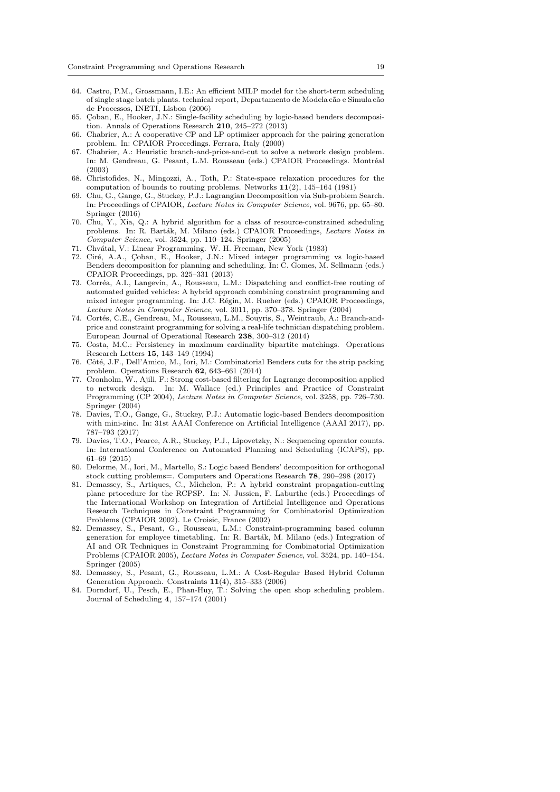- 64. Castro, P.M., Grossmann, I.E.: An efficient MILP model for the short-term scheduling of single stage batch plants. technical report, Departamento de Modela cão e Simula cão de Processos, INETI, Lisbon (2006)
- 65. Çoban, E., Hooker, J.N.: Single-facility scheduling by logic-based benders decomposition. Annals of Operations Research 210, 245–272 (2013)
- 66. Chabrier, A.: A cooperative CP and LP optimizer approach for the pairing generation problem. In: CPAIOR Proceedings. Ferrara, Italy (2000)
- 67. Chabrier, A.: Heuristic branch-and-price-and-cut to solve a network design problem. In: M. Gendreau, G. Pesant, L.M. Rousseau (eds.) CPAIOR Proceedings. Montréal (2003)
- 68. Christofides, N., Mingozzi, A., Toth, P.: State-space relaxation procedures for the computation of bounds to routing problems. Networks  $11(2)$ ,  $145-164$  (1981)
- 69. Chu, G., Gange, G., Stuckey, P.J.: Lagrangian Decomposition via Sub-problem Search. In: Proceedings of CPAIOR, Lecture Notes in Computer Science, vol. 9676, pp. 65–80. Springer (2016)
- 70. Chu, Y., Xia, Q.: A hybrid algorithm for a class of resource-constrained scheduling problems. In: R. Barták, M. Milano (eds.) CPAIOR Proceedings, Lecture Notes in Computer Science, vol. 3524, pp. 110–124. Springer (2005)
- 71. Chvátal, V.: Linear Programming. W. H. Freeman, New York (1983)
- 72. Ciré, A.A., Çoban, E., Hooker, J.N.: Mixed integer programming vs logic-based Benders decomposition for planning and scheduling. In: C. Gomes, M. Sellmann (eds.) CPAIOR Proceedings, pp. 325–331 (2013)
- 73. Corréa, A.I., Langevin, A., Rousseau, L.M.: Dispatching and conflict-free routing of automated guided vehicles: A hybrid approach combining constraint programming and mixed integer programming. In: J.C. Régin, M. Rueher (eds.) CPAIOR Proceedings, Lecture Notes in Computer Science, vol. 3011, pp. 370–378. Springer (2004)
- 74. Cortés, C.E., Gendreau, M., Rousseau, L.M., Souyris, S., Weintraub, A.: Branch-andprice and constraint programming for solving a real-life technician dispatching problem. European Journal of Operational Research 238, 300–312 (2014)
- 75. Costa, M.C.: Persistency in maximum cardinality bipartite matchings. Operations Research Letters 15, 143–149 (1994)
- 76. Côté, J.F., Dell'Amico, M., Iori, M.: Combinatorial Benders cuts for the strip packing problem. Operations Research 62, 643–661 (2014)
- 77. Cronholm, W., Ajili, F.: Strong cost-based filtering for Lagrange decomposition applied to network design. In: M. Wallace (ed.) Principles and Practice of Constraint Programming (CP 2004), Lecture Notes in Computer Science, vol. 3258, pp. 726–730. Springer (2004)
- 78. Davies, T.O., Gange, G., Stuckey, P.J.: Automatic logic-based Benders decomposition with mini-zinc. In: 31st AAAI Conference on Artificial Intelligence (AAAI 2017), pp. 787–793 (2017)
- 79. Davies, T.O., Pearce, A.R., Stuckey, P.J., Lipovetzky, N.: Sequencing operator counts. In: International Conference on Automated Planning and Scheduling (ICAPS), pp. 61–69 (2015)
- 80. Delorme, M., Iori, M., Martello, S.: Logic based Benders' decomposition for orthogonal stock cutting problems=. Computers and Operations Research 78, 290–298 (2017)
- 81. Demassey, S., Artiques, C., Michelon, P.: A hybrid constraint propagation-cutting plane prtocedure for the RCPSP. In: N. Jussien, F. Laburthe (eds.) Proceedings of the International Workshop on Integration of Artificial Intelligence and Operations Research Techniques in Constraint Programming for Combinatorial Optimization Problems (CPAIOR 2002). Le Croisic, France (2002)
- 82. Demassey, S., Pesant, G., Rousseau, L.M.: Constraint-programming based column generation for employee timetabling. In: R. Barták, M. Milano (eds.) Integration of AI and OR Techniques in Constraint Programming for Combinatorial Optimization Problems (CPAIOR 2005), Lecture Notes in Computer Science, vol. 3524, pp. 140–154. Springer (2005)
- 83. Demassey, S., Pesant, G., Rousseau, L.M.: A Cost-Regular Based Hybrid Column Generation Approach. Constraints 11(4), 315–333 (2006)
- 84. Dorndorf, U., Pesch, E., Phan-Huy, T.: Solving the open shop scheduling problem. Journal of Scheduling 4, 157–174 (2001)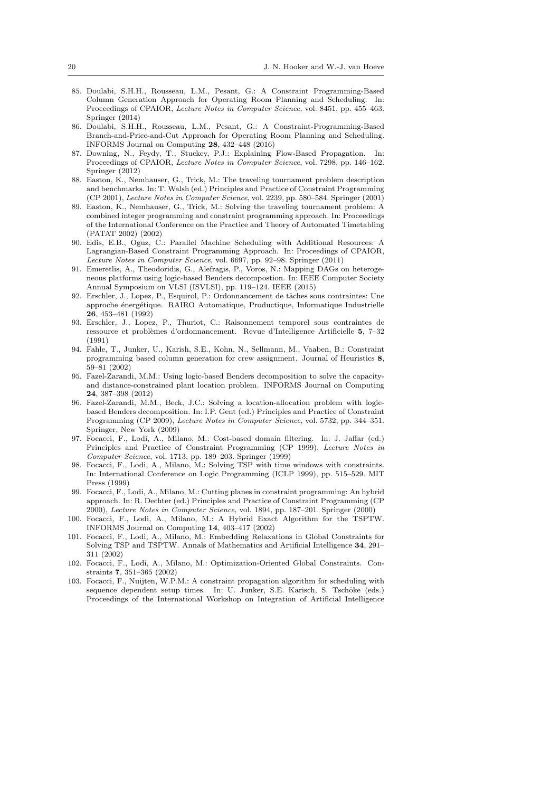- 85. Doulabi, S.H.H., Rousseau, L.M., Pesant, G.: A Constraint Programming-Based Column Generation Approach for Operating Room Planning and Scheduling. In: Proceedings of CPAIOR, Lecture Notes in Computer Science, vol. 8451, pp. 455–463. Springer (2014)
- 86. Doulabi, S.H.H., Rousseau, L.M., Pesant, G.: A Constraint-Programming-Based Branch-and-Price-and-Cut Approach for Operating Room Planning and Scheduling. INFORMS Journal on Computing 28, 432–448 (2016)
- 87. Downing, N., Feydy, T., Stuckey, P.J.: Explaining Flow-Based Propagation. In: Proceedings of CPAIOR, Lecture Notes in Computer Science, vol. 7298, pp. 146–162. Springer (2012)
- 88. Easton, K., Nemhauser, G., Trick, M.: The traveling tournament problem description and benchmarks. In: T. Walsh (ed.) Principles and Practice of Constraint Programming (CP 2001), Lecture Notes in Computer Science, vol. 2239, pp. 580–584. Springer (2001)
- 89. Easton, K., Nemhauser, G., Trick, M.: Solving the traveling tournament problem: A combined integer programming and constraint programming approach. In: Proceedings of the International Conference on the Practice and Theory of Automated Timetabling (PATAT 2002) (2002)
- 90. Edis, E.B., Oguz, C.: Parallel Machine Scheduling with Additional Resources: A Lagrangian-Based Constraint Programming Approach. In: Proceedings of CPAIOR, Lecture Notes in Computer Science, vol. 6697, pp. 92–98. Springer (2011)
- 91. Emeretlis, A., Theodoridis, G., Alefragis, P., Voros, N.: Mapping DAGs on heterogeneous platforms using logic-based Benders decompostion. In: IEEE Computer Society Annual Symposium on VLSI (ISVLSI), pp. 119–124. IEEE (2015)
- 92. Erschler, J., Lopez, P., Esquirol, P.: Ordonnancement de tâches sous contraintes: Une approche énergétique. RAIRO Automatique, Productique, Informatique Industrielle 26, 453–481 (1992)
- 93. Erschler, J., Lopez, P., Thuriot, C.: Raisonnement temporel sous contraintes de ressource et problèmes d'ordonnancement. Revue d'Intelligence Artificielle 5, 7–32 (1991)
- 94. Fahle, T., Junker, U., Karish, S.E., Kohn, N., Sellmann, M., Vaaben, B.: Constraint programming based column generation for crew assignment. Journal of Heuristics 8, 59–81 (2002)
- 95. Fazel-Zarandi, M.M.: Using logic-based Benders decomposition to solve the capacityand distance-constrained plant location problem. INFORMS Journal on Computing 24, 387–398 (2012)
- 96. Fazel-Zarandi, M.M., Beck, J.C.: Solving a location-allocation problem with logicbased Benders decomposition. In: I.P. Gent (ed.) Principles and Practice of Constraint Programming (CP 2009), Lecture Notes in Computer Science, vol. 5732, pp. 344–351. Springer, New York (2009)
- 97. Focacci, F., Lodi, A., Milano, M.: Cost-based domain filtering. In: J. Jaffar (ed.) Principles and Practice of Constraint Programming (CP 1999), Lecture Notes in Computer Science, vol. 1713, pp. 189–203. Springer (1999)
- 98. Focacci, F., Lodi, A., Milano, M.: Solving TSP with time windows with constraints. In: International Conference on Logic Programming (ICLP 1999), pp. 515–529. MIT Press (1999)
- 99. Focacci, F., Lodi, A., Milano, M.: Cutting planes in constraint programming: An hybrid approach. In: R. Dechter (ed.) Principles and Practice of Constraint Programming (CP 2000), Lecture Notes in Computer Science, vol. 1894, pp. 187–201. Springer (2000)
- 100. Focacci, F., Lodi, A., Milano, M.: A Hybrid Exact Algorithm for the TSPTW. INFORMS Journal on Computing 14, 403–417 (2002)
- 101. Focacci, F., Lodi, A., Milano, M.: Embedding Relaxations in Global Constraints for Solving TSP and TSPTW. Annals of Mathematics and Artificial Intelligence 34, 291– 311 (2002)
- 102. Focacci, F., Lodi, A., Milano, M.: Optimization-Oriented Global Constraints. Constraints 7, 351–365 (2002)
- 103. Focacci, F., Nuijten, W.P.M.: A constraint propagation algorithm for scheduling with sequence dependent setup times. In: U. Junker, S.E. Karisch, S. Tschöke (eds.) Proceedings of the International Workshop on Integration of Artificial Intelligence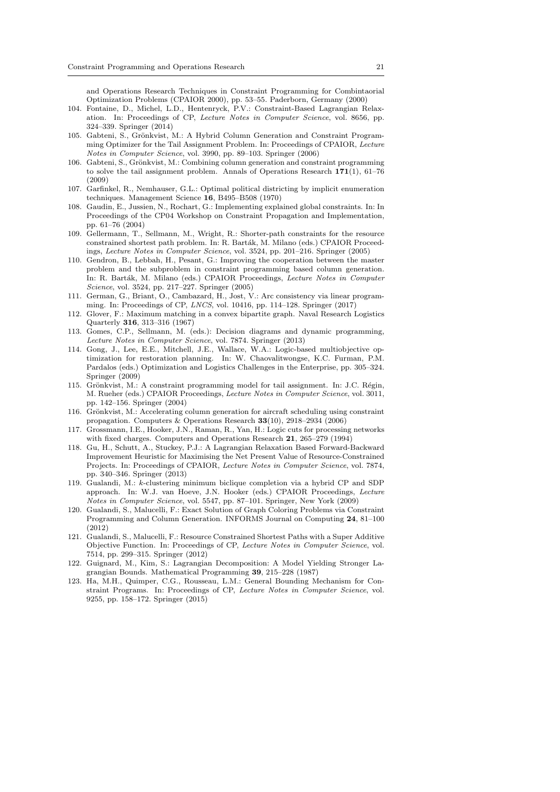and Operations Research Techniques in Constraint Programming for Combintaorial Optimization Problems (CPAIOR 2000), pp. 53–55. Paderborn, Germany (2000)

- 104. Fontaine, D., Michel, L.D., Hentenryck, P.V.: Constraint-Based Lagrangian Relaxation. In: Proceedings of CP, Lecture Notes in Computer Science, vol. 8656, pp. 324–339. Springer (2014)
- 105. Gabteni, S., Grönkvist, M.: A Hybrid Column Generation and Constraint Programming Optimizer for the Tail Assignment Problem. In: Proceedings of CPAIOR, Lecture Notes in Computer Science, vol. 3990, pp. 89–103. Springer (2006)
- 106. Gabteni, S., Grönkvist, M.: Combining column generation and constraint programming to solve the tail assignment problem. Annals of Operations Research  $171(1)$ ,  $61-76$ (2009)
- 107. Garfinkel, R., Nemhauser, G.L.: Optimal political districting by implicit enumeration techniques. Management Science 16, B495–B508 (1970)
- 108. Gaudin, E., Jussien, N., Rochart, G.: Implementing explained global constraints. In: In Proceedings of the CP04 Workshop on Constraint Propagation and Implementation, pp. 61–76 (2004)
- 109. Gellermann, T., Sellmann, M., Wright, R.: Shorter-path constraints for the resource constrained shortest path problem. In: R. Barták, M. Milano (eds.) CPAIOR Proceedings, Lecture Notes in Computer Science, vol. 3524, pp. 201–216. Springer (2005)
- 110. Gendron, B., Lebbah, H., Pesant, G.: Improving the cooperation between the master problem and the subproblem in constraint programming based column generation. In: R. Barták, M. Milano (eds.) CPAIOR Proceedings, Lecture Notes in Computer Science, vol. 3524, pp. 217–227. Springer (2005)
- 111. German, G., Briant, O., Cambazard, H., Jost, V.: Arc consistency via linear programming. In: Proceedings of CP, LNCS, vol. 10416, pp. 114–128. Springer (2017)
- 112. Glover, F.: Maximum matching in a convex bipartite graph. Naval Research Logistics Quarterly 316, 313–316 (1967)
- 113. Gomes, C.P., Sellmann, M. (eds.): Decision diagrams and dynamic programming, Lecture Notes in Computer Science, vol. 7874. Springer (2013)
- 114. Gong, J., Lee, E.E., Mitchell, J.E., Wallace, W.A.: Logic-based multiobjective optimization for restoration planning. In: W. Chaovalitwongse, K.C. Furman, P.M. Pardalos (eds.) Optimization and Logistics Challenges in the Enterprise, pp. 305–324. Springer (2009)
- 115. Grönkvist, M.: A constraint programming model for tail assignment. In: J.C. Régin, M. Rueher (eds.) CPAIOR Proceedings, Lecture Notes in Computer Science, vol. 3011, pp. 142–156. Springer (2004)
- 116. Grönkvist, M.: Accelerating column generation for aircraft scheduling using constraint propagation. Computers & Operations Research 33(10), 2918–2934 (2006)
- 117. Grossmann, I.E., Hooker, J.N., Raman, R., Yan, H.: Logic cuts for processing networks with fixed charges. Computers and Operations Research 21, 265–279 (1994)
- 118. Gu, H., Schutt, A., Stuckey, P.J.: A Lagrangian Relaxation Based Forward-Backward Improvement Heuristic for Maximising the Net Present Value of Resource-Constrained Projects. In: Proceedings of CPAIOR, Lecture Notes in Computer Science, vol. 7874, pp. 340–346. Springer (2013)
- 119. Gualandi, M.: k-clustering minimum biclique completion via a hybrid CP and SDP approach. In: W.J. van Hoeve, J.N. Hooker (eds.) CPAIOR Proceedings, Lecture Notes in Computer Science, vol. 5547, pp. 87–101. Springer, New York (2009)
- 120. Gualandi, S., Malucelli, F.: Exact Solution of Graph Coloring Problems via Constraint Programming and Column Generation. INFORMS Journal on Computing 24, 81–100 (2012)
- 121. Gualandi, S., Malucelli, F.: Resource Constrained Shortest Paths with a Super Additive Objective Function. In: Proceedings of CP, Lecture Notes in Computer Science, vol. 7514, pp. 299–315. Springer (2012)
- 122. Guignard, M., Kim, S.: Lagrangian Decomposition: A Model Yielding Stronger Lagrangian Bounds. Mathematical Programming 39, 215–228 (1987)
- 123. Ha, M.H., Quimper, C.G., Rousseau, L.M.: General Bounding Mechanism for Constraint Programs. In: Proceedings of CP, Lecture Notes in Computer Science, vol. 9255, pp. 158–172. Springer (2015)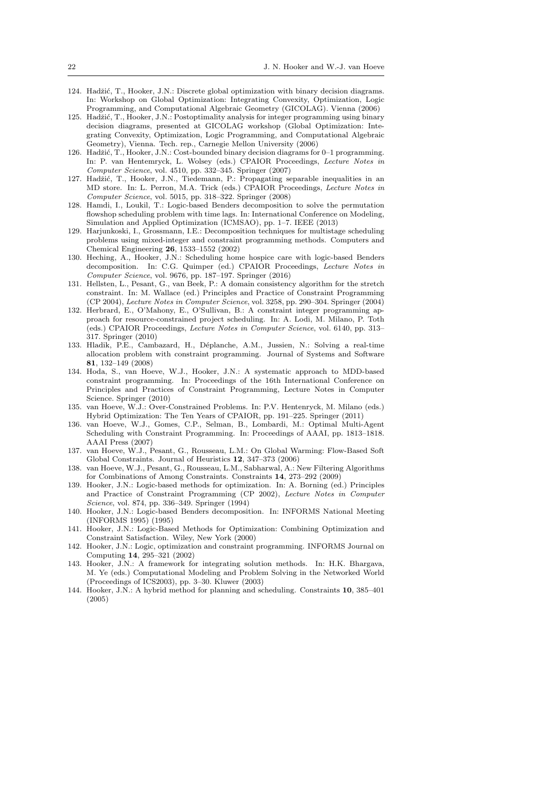- 124. Hadžić, T., Hooker, J.N.: Discrete global optimization with binary decision diagrams. In: Workshop on Global Optimization: Integrating Convexity, Optimization, Logic Programming, and Computational Algebraic Geometry (GICOLAG). Vienna (2006)
- 125. Hadžić, T., Hooker, J.N.: Postoptimality analysis for integer programming using binary decision diagrams, presented at GICOLAG workshop (Global Optimization: Integrating Convexity, Optimization, Logic Programming, and Computational Algebraic Geometry), Vienna. Tech. rep., Carnegie Mellon University (2006)
- 126. Hadžić, T., Hooker, J.N.: Cost-bounded binary decision diagrams for 0–1 programming. In: P. van Hentemryck, L. Wolsey (eds.) CPAIOR Proceedings, Lecture Notes in Computer Science, vol. 4510, pp. 332–345. Springer (2007)
- 127. Hadžić, T., Hooker, J.N., Tiedemann, P.: Propagating separable inequalities in an MD store. In: L. Perron, M.A. Trick (eds.) CPAIOR Proceedings, Lecture Notes in Computer Science, vol. 5015, pp. 318–322. Springer (2008)
- 128. Hamdi, I., Loukil, T.: Logic-based Benders decomposition to solve the permutation flowshop scheduling problem with time lags. In: International Conference on Modeling, Simulation and Applied Optimization (ICMSAO), pp. 1–7. IEEE (2013)
- 129. Harjunkoski, I., Grossmann, I.E.: Decomposition techniques for multistage scheduling problems using mixed-integer and constraint programming methods. Computers and Chemical Engineering 26, 1533–1552 (2002)
- 130. Heching, A., Hooker, J.N.: Scheduling home hospice care with logic-based Benders decomposition. In: C.G. Quimper (ed.) CPAIOR Proceedings, Lecture Notes in Computer Science, vol. 9676, pp. 187–197. Springer (2016)
- 131. Hellsten, L., Pesant, G., van Beek, P.: A domain consistency algorithm for the stretch constraint. In: M. Wallace (ed.) Principles and Practice of Constraint Programming (CP 2004), Lecture Notes in Computer Science, vol. 3258, pp. 290–304. Springer (2004)
- 132. Herbrard, E., O'Mahony, E., O'Sullivan, B.: A constraint integer programming approach for resource-constrained project scheduling. In: A. Lodi, M. Milano, P. Toth (eds.) CPAIOR Proceedings, Lecture Notes in Computer Science, vol. 6140, pp. 313– 317. Springer (2010)
- 133. Hladik, P.E., Cambazard, H., D´eplanche, A.M., Jussien, N.: Solving a real-time allocation problem with constraint programming. Journal of Systems and Software 81, 132–149 (2008)
- 134. Hoda, S., van Hoeve, W.J., Hooker, J.N.: A systematic approach to MDD-based constraint programming. In: Proceedings of the 16th International Conference on Principles and Practices of Constraint Programming, Lecture Notes in Computer Science. Springer (2010)
- 135. van Hoeve, W.J.: Over-Constrained Problems. In: P.V. Hentenryck, M. Milano (eds.) Hybrid Optimization: The Ten Years of CPAIOR, pp. 191–225. Springer (2011)
- 136. van Hoeve, W.J., Gomes, C.P., Selman, B., Lombardi, M.: Optimal Multi-Agent Scheduling with Constraint Programming. In: Proceedings of AAAI, pp. 1813–1818. AAAI Press (2007)
- 137. van Hoeve, W.J., Pesant, G., Rousseau, L.M.: On Global Warming: Flow-Based Soft Global Constraints. Journal of Heuristics 12, 347–373 (2006)
- 138. van Hoeve, W.J., Pesant, G., Rousseau, L.M., Sabharwal, A.: New Filtering Algorithms for Combinations of Among Constraints. Constraints 14, 273–292 (2009)
- 139. Hooker, J.N.: Logic-based methods for optimization. In: A. Borning (ed.) Principles and Practice of Constraint Programming (CP 2002), Lecture Notes in Computer Science, vol. 874, pp. 336–349. Springer (1994)
- 140. Hooker, J.N.: Logic-based Benders decomposition. In: INFORMS National Meeting (INFORMS 1995) (1995)
- 141. Hooker, J.N.: Logic-Based Methods for Optimization: Combining Optimization and Constraint Satisfaction. Wiley, New York (2000)
- 142. Hooker, J.N.: Logic, optimization and constraint programming. INFORMS Journal on Computing 14, 295–321 (2002)
- 143. Hooker, J.N.: A framework for integrating solution methods. In: H.K. Bhargava, M. Ye (eds.) Computational Modeling and Problem Solving in the Networked World (Proceedings of ICS2003), pp. 3–30. Kluwer (2003)
- 144. Hooker, J.N.: A hybrid method for planning and scheduling. Constraints 10, 385–401 (2005)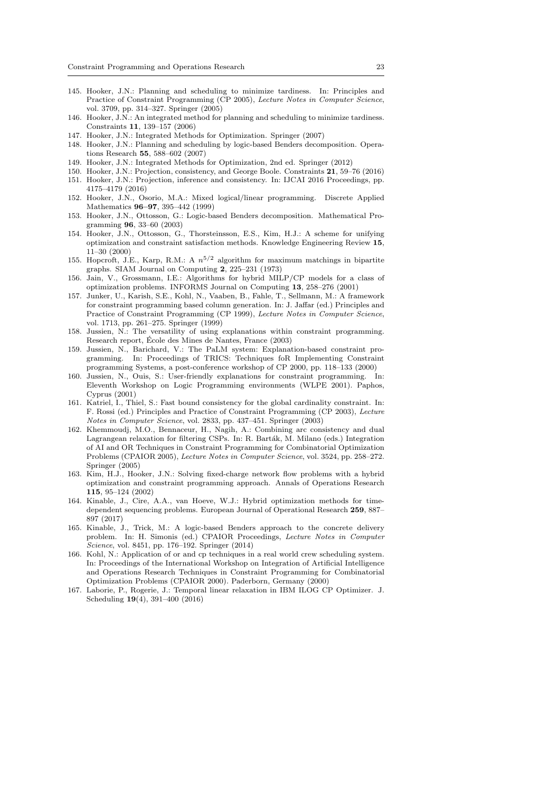- 145. Hooker, J.N.: Planning and scheduling to minimize tardiness. In: Principles and Practice of Constraint Programming (CP 2005), Lecture Notes in Computer Science, vol. 3709, pp. 314–327. Springer (2005)
- 146. Hooker, J.N.: An integrated method for planning and scheduling to minimize tardiness. Constraints 11, 139–157 (2006)
- 147. Hooker, J.N.: Integrated Methods for Optimization. Springer (2007)
- 148. Hooker, J.N.: Planning and scheduling by logic-based Benders decomposition. Operations Research 55, 588–602 (2007)
- 149. Hooker, J.N.: Integrated Methods for Optimization, 2nd ed. Springer (2012)
- 150. Hooker, J.N.: Projection, consistency, and George Boole. Constraints 21, 59–76 (2016) 151. Hooker, J.N.: Projection, inference and consistency. In: IJCAI 2016 Proceedings, pp.
- 4175–4179 (2016)
- 152. Hooker, J.N., Osorio, M.A.: Mixed logical/linear programming. Discrete Applied Mathematics 96–97, 395–442 (1999)
- 153. Hooker, J.N., Ottosson, G.: Logic-based Benders decomposition. Mathematical Programming 96, 33–60 (2003)
- 154. Hooker, J.N., Ottosson, G., Thorsteinsson, E.S., Kim, H.J.: A scheme for unifying optimization and constraint satisfaction methods. Knowledge Engineering Review 15, 11–30 (2000)
- 155. Hopcroft, J.E., Karp, R.M.: A  $n^{5/2}$  algorithm for maximum matchings in bipartite graphs. SIAM Journal on Computing 2, 225–231 (1973)
- 156. Jain, V., Grossmann, I.E.: Algorithms for hybrid MILP/CP models for a class of optimization problems. INFORMS Journal on Computing 13, 258–276 (2001)
- 157. Junker, U., Karish, S.E., Kohl, N., Vaaben, B., Fahle, T., Sellmann, M.: A framework for constraint programming based column generation. In: J. Jaffar (ed.) Principles and Practice of Constraint Programming (CP 1999), Lecture Notes in Computer Science, vol. 1713, pp. 261–275. Springer (1999)
- Jussien, N.: The versatility of using explanations within constraint programming. Research report, École des Mines de Nantes, France (2003)
- 159. Jussien, N., Barichard, V.: The PaLM system: Explanation-based constraint programming. In: Proceedings of TRICS: Techniques foR Implementing Constraint programming Systems, a post-conference workshop of CP 2000, pp. 118–133 (2000)
- 160. Jussien, N., Ouis, S.: User-friendly explanations for constraint programming. In: Eleventh Workshop on Logic Programming environments (WLPE 2001). Paphos, Cyprus (2001)
- 161. Katriel, I., Thiel, S.: Fast bound consistency for the global cardinality constraint. In: F. Rossi (ed.) Principles and Practice of Constraint Programming (CP 2003), Lecture Notes in Computer Science, vol. 2833, pp. 437–451. Springer (2003)
- 162. Khemmoudj, M.O., Bennaceur, H., Nagih, A.: Combining arc consistency and dual Lagrangean relaxation for filtering CSPs. In: R. Barták, M. Milano (eds.) Integration of AI and OR Techniques in Constraint Programming for Combinatorial Optimization Problems (CPAIOR 2005), Lecture Notes in Computer Science, vol. 3524, pp. 258–272. Springer (2005)
- 163. Kim, H.J., Hooker, J.N.: Solving fixed-charge network flow problems with a hybrid optimization and constraint programming approach. Annals of Operations Research 115, 95–124 (2002)
- 164. Kinable, J., Cire, A.A., van Hoeve, W.J.: Hybrid optimization methods for timedependent sequencing problems. European Journal of Operational Research 259, 887– 897 (2017)
- 165. Kinable, J., Trick, M.: A logic-based Benders approach to the concrete delivery problem. In: H. Simonis (ed.) CPAIOR Proceedings, Lecture Notes in Computer Science, vol. 8451, pp. 176–192. Springer (2014)
- 166. Kohl, N.: Application of or and cp techniques in a real world crew scheduling system. In: Proceedings of the International Workshop on Integration of Artificial Intelligence and Operations Research Techniques in Constraint Programming for Combinatorial Optimization Problems (CPAIOR 2000). Paderborn, Germany (2000)
- 167. Laborie, P., Rogerie, J.: Temporal linear relaxation in IBM ILOG CP Optimizer. J. Scheduling 19(4), 391–400 (2016)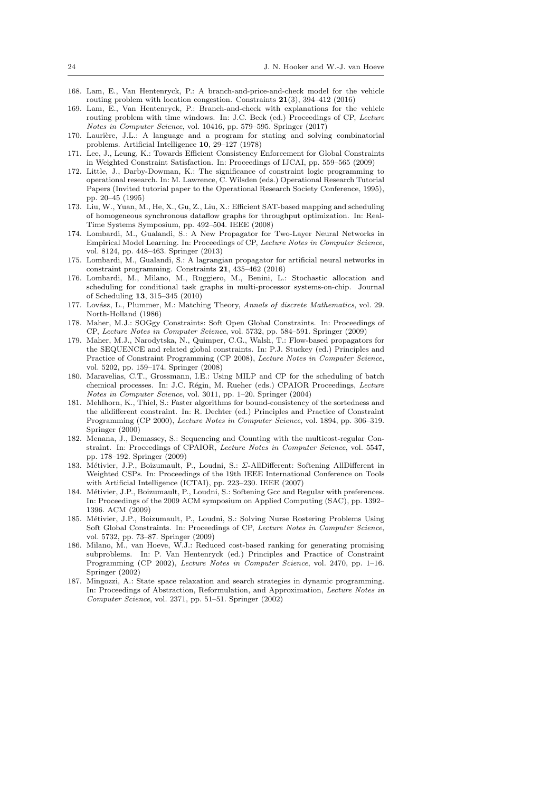- 168. Lam, E., Van Hentenryck, P.: A branch-and-price-and-check model for the vehicle routing problem with location congestion. Constraints  $21(3)$ , 394–412 (2016)
- 169. Lam, E., Van Hentenryck, P.: Branch-and-check with explanations for the vehicle routing problem with time windows. In: J.C. Beck (ed.) Proceedings of CP, Lecture Notes in Computer Science, vol. 10416, pp. 579–595. Springer (2017)
- 170. Laurière, J.L.: A language and a program for stating and solving combinatorial problems. Artificial Intelligence 10, 29–127 (1978)
- 171. Lee, J., Leung, K.: Towards Efficient Consistency Enforcement for Global Constraints in Weighted Constraint Satisfaction. In: Proceedings of IJCAI, pp. 559–565 (2009)
- 172. Little, J., Darby-Dowman, K.: The significance of constraint logic programming to operational research. In: M. Lawrence, C. Wilsden (eds.) Operational Research Tutorial Papers (Invited tutorial paper to the Operational Research Society Conference, 1995), pp. 20–45 (1995)
- 173. Liu, W., Yuan, M., He, X., Gu, Z., Liu, X.: Efficient SAT-based mapping and scheduling of homogeneous synchronous dataflow graphs for throughput optimization. In: Real-Time Systems Symposium, pp. 492–504. IEEE (2008)
- 174. Lombardi, M., Gualandi, S.: A New Propagator for Two-Layer Neural Networks in Empirical Model Learning. In: Proceedings of CP, Lecture Notes in Computer Science, vol. 8124, pp. 448–463. Springer (2013)
- 175. Lombardi, M., Gualandi, S.: A lagrangian propagator for artificial neural networks in constraint programming. Constraints 21, 435–462 (2016)
- 176. Lombardi, M., Milano, M., Ruggiero, M., Benini, L.: Stochastic allocation and scheduling for conditional task graphs in multi-processor systems-on-chip. Journal of Scheduling 13, 315–345 (2010)
- 177. Lovász, L., Plummer, M.: Matching Theory, Annals of discrete Mathematics, vol. 29. North-Holland (1986)
- 178. Maher, M.J.: SOGgy Constraints: Soft Open Global Constraints. In: Proceedings of CP, Lecture Notes in Computer Science, vol. 5732, pp. 584–591. Springer (2009)
- 179. Maher, M.J., Narodytska, N., Quimper, C.G., Walsh, T.: Flow-based propagators for the SEQUENCE and related global constraints. In: P.J. Stuckey (ed.) Principles and Practice of Constraint Programming (CP 2008), Lecture Notes in Computer Science, vol. 5202, pp. 159–174. Springer (2008)
- 180. Maravelias, C.T., Grossmann, I.E.: Using MILP and CP for the scheduling of batch chemical processes. In: J.C. Régin, M. Rueher (eds.) CPAIOR Proceedings, Lecture Notes in Computer Science, vol. 3011, pp. 1–20. Springer (2004)
- 181. Mehlhorn, K., Thiel, S.: Faster algorithms for bound-consistency of the sortedness and the alldifferent constraint. In: R. Dechter (ed.) Principles and Practice of Constraint Programming (CP 2000), Lecture Notes in Computer Science, vol. 1894, pp. 306–319. Springer (2000)
- 182. Menana, J., Demassey, S.: Sequencing and Counting with the multicost-regular Constraint. In: Proceedings of CPAIOR, Lecture Notes in Computer Science, vol. 5547, pp. 178–192. Springer (2009)
- 183. Métivier, J.P., Boizumault, P., Loudni, S.: Σ-AllDifferent: Softening AllDifferent in Weighted CSPs. In: Proceedings of the 19th IEEE International Conference on Tools with Artificial Intelligence (ICTAI), pp. 223–230. IEEE (2007)
- 184. Métivier, J.P., Boizumault, P., Loudni, S.: Softening Gcc and Regular with preferences. In: Proceedings of the 2009 ACM symposium on Applied Computing (SAC), pp. 1392– 1396. ACM (2009)
- 185. Métivier, J.P., Boizumault, P., Loudni, S.: Solving Nurse Rostering Problems Using Soft Global Constraints. In: Proceedings of CP, Lecture Notes in Computer Science, vol. 5732, pp. 73–87. Springer (2009)
- 186. Milano, M., van Hoeve, W.J.: Reduced cost-based ranking for generating promising subproblems. In: P. Van Hentenryck (ed.) Principles and Practice of Constraint Programming (CP 2002), Lecture Notes in Computer Science, vol. 2470, pp. 1–16. Springer (2002)
- 187. Mingozzi, A.: State space relaxation and search strategies in dynamic programming. In: Proceedings of Abstraction, Reformulation, and Approximation, Lecture Notes in Computer Science, vol. 2371, pp. 51–51. Springer (2002)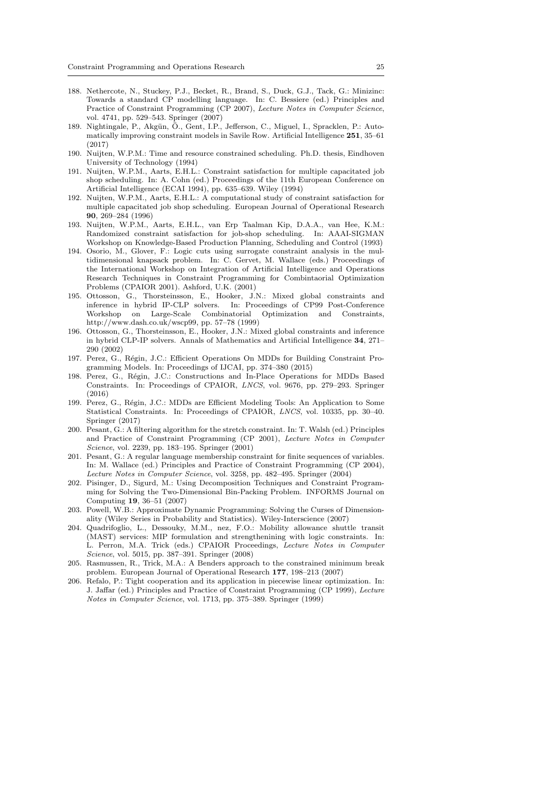- 188. Nethercote, N., Stuckey, P.J., Becket, R., Brand, S., Duck, G.J., Tack, G.: Minizinc: Towards a standard CP modelling language. In: C. Bessiere (ed.) Principles and Practice of Constraint Programming (CP 2007), Lecture Notes in Computer Science, vol. 4741, pp. 529–543. Springer (2007)
- 189. Nightingale, P., Akgün, Ö., Gent, I.P., Jefferson, C., Miguel, I., Spracklen, P.: Automatically improving constraint models in Savile Row. Artificial Intelligence 251, 35–61 (2017)
- 190. Nuijten, W.P.M.: Time and resource constrained scheduling. Ph.D. thesis, Eindhoven University of Technology (1994)
- 191. Nuijten, W.P.M., Aarts, E.H.L.: Constraint satisfaction for multiple capacitated job shop scheduling. In: A. Cohn (ed.) Proceedings of the 11th European Conference on Artificial Intelligence (ECAI 1994), pp. 635–639. Wiley (1994)
- 192. Nuijten, W.P.M., Aarts, E.H.L.: A computational study of constraint satisfaction for multiple capacitated job shop scheduling. European Journal of Operational Research 90, 269–284 (1996)
- 193. Nuijten, W.P.M., Aarts, E.H.L., van Erp Taalman Kip, D.A.A., van Hee, K.M.: Randomized constraint satisfaction for job-shop scheduling. In: AAAI-SIGMAN Workshop on Knowledge-Based Production Planning, Scheduling and Control (1993)
- 194. Osorio, M., Glover, F.: Logic cuts using surrogate constraint analysis in the multidimensional knapsack problem. In: C. Gervet, M. Wallace (eds.) Proceedings of the International Workshop on Integration of Artificial Intelligence and Operations Research Techniques in Constraint Programming for Combintaorial Optimization Problems (CPAIOR 2001). Ashford, U.K. (2001)
- 195. Ottosson, G., Thorsteinsson, E., Hooker, J.N.: Mixed global constraints and inference in hybrid IP-CLP solvers. In: Proceedings of CP99 Post-Conference Workshop on Large-Scale Combinatorial Optimization and Constraints, http://www.dash.co.uk/wscp99, pp. 57–78 (1999)
- 196. Ottosson, G., Thorsteinsson, E., Hooker, J.N.: Mixed global constraints and inference in hybrid CLP-IP solvers. Annals of Mathematics and Artificial Intelligence 34, 271– 290 (2002)
- 197. Perez, G., Régin, J.C.: Efficient Operations On MDDs for Building Constraint Programming Models. In: Proceedings of IJCAI, pp. 374–380 (2015)
- 198. Perez, G., Régin, J.C.: Constructions and In-Place Operations for MDDs Based Constraints. In: Proceedings of CPAIOR, LNCS, vol. 9676, pp. 279–293. Springer (2016)
- 199. Perez, G., Régin, J.C.: MDDs are Efficient Modeling Tools: An Application to Some Statistical Constraints. In: Proceedings of CPAIOR, LNCS, vol. 10335, pp. 30–40. Springer (2017)
- 200. Pesant, G.: A filtering algorithm for the stretch constraint. In: T. Walsh (ed.) Principles and Practice of Constraint Programming (CP 2001), Lecture Notes in Computer Science, vol. 2239, pp. 183–195. Springer (2001)
- 201. Pesant, G.: A regular language membership constraint for finite sequences of variables. In: M. Wallace (ed.) Principles and Practice of Constraint Programming (CP 2004), Lecture Notes in Computer Science, vol. 3258, pp. 482–495. Springer (2004)
- 202. Pisinger, D., Sigurd, M.: Using Decomposition Techniques and Constraint Programming for Solving the Two-Dimensional Bin-Packing Problem. INFORMS Journal on Computing 19, 36–51 (2007)
- 203. Powell, W.B.: Approximate Dynamic Programming: Solving the Curses of Dimensionality (Wiley Series in Probability and Statistics). Wiley-Interscience (2007)
- 204. Quadrifoglio, L., Dessouky, M.M., nez, F.O.: Mobility allowance shuttle transit (MAST) services: MIP formulation and strengthenining with logic constraints. In: L. Perron, M.A. Trick (eds.) CPAIOR Proceedings, Lecture Notes in Computer Science, vol. 5015, pp. 387–391. Springer (2008)
- 205. Rasmussen, R., Trick, M.A.: A Benders approach to the constrained minimum break problem. European Journal of Operational Research 177, 198–213 (2007)
- 206. Refalo, P.: Tight cooperation and its application in piecewise linear optimization. In: J. Jaffar (ed.) Principles and Practice of Constraint Programming (CP 1999), Lecture Notes in Computer Science, vol. 1713, pp. 375–389. Springer (1999)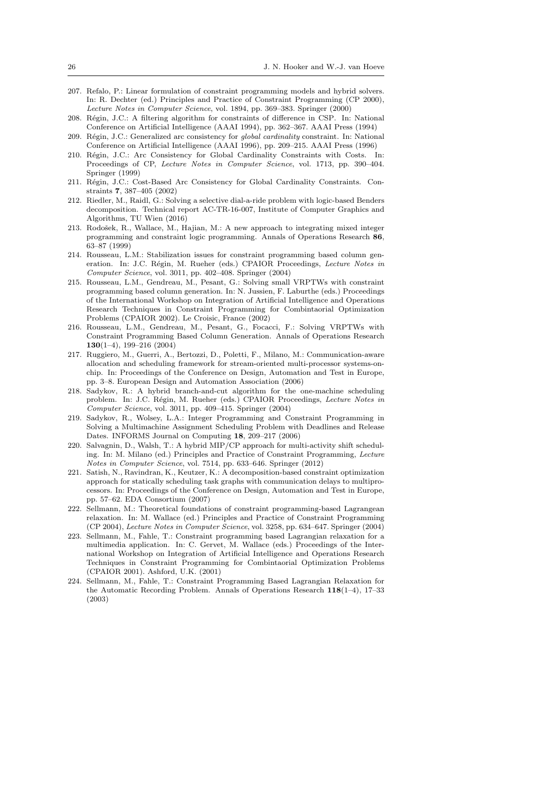- 207. Refalo, P.: Linear formulation of constraint programming models and hybrid solvers. In: R. Dechter (ed.) Principles and Practice of Constraint Programming (CP 2000), Lecture Notes in Computer Science, vol. 1894, pp. 369–383. Springer (2000)
- 208. Régin, J.C.: A filtering algorithm for constraints of difference in CSP. In: National Conference on Artificial Intelligence (AAAI 1994), pp. 362–367. AAAI Press (1994)
- 209. Régin, J.C.: Generalized arc consistency for *qlobal cardinality* constraint. In: National Conference on Artificial Intelligence (AAAI 1996), pp. 209–215. AAAI Press (1996)
- 210. Régin, J.C.: Arc Consistency for Global Cardinality Constraints with Costs. In: Proceedings of CP, Lecture Notes in Computer Science, vol. 1713, pp. 390–404. Springer (1999)
- 211. Régin, J.C.: Cost-Based Arc Consistency for Global Cardinality Constraints. Constraints 7, 387–405 (2002)
- 212. Riedler, M., Raidl, G.: Solving a selective dial-a-ride problem with logic-based Benders decomposition. Technical report AC-TR-16-007, Institute of Computer Graphics and Algorithms, TU Wien (2016)
- 213. Rodošek, R., Wallace, M., Hajian, M.: A new approach to integrating mixed integer programming and constraint logic programming. Annals of Operations Research 86, 63–87 (1999)
- 214. Rousseau, L.M.: Stabilization issues for constraint programming based column generation. In: J.C. Régin, M. Rueher (eds.) CPAIOR Proceedings, Lecture Notes in Computer Science, vol. 3011, pp. 402–408. Springer (2004)
- 215. Rousseau, L.M., Gendreau, M., Pesant, G.: Solving small VRPTWs with constraint programming based column generation. In: N. Jussien, F. Laburthe (eds.) Proceedings of the International Workshop on Integration of Artificial Intelligence and Operations Research Techniques in Constraint Programming for Combintaorial Optimization Problems (CPAIOR 2002). Le Croisic, France (2002)
- 216. Rousseau, L.M., Gendreau, M., Pesant, G., Focacci, F.: Solving VRPTWs with Constraint Programming Based Column Generation. Annals of Operations Research 130(1–4), 199–216 (2004)
- 217. Ruggiero, M., Guerri, A., Bertozzi, D., Poletti, F., Milano, M.: Communication-aware allocation and scheduling framework for stream-oriented multi-processor systems-onchip. In: Proceedings of the Conference on Design, Automation and Test in Europe, pp. 3–8. European Design and Automation Association (2006)
- 218. Sadykov, R.: A hybrid branch-and-cut algorithm for the one-machine scheduling problem. In: J.C. Régin, M. Rueher (eds.) CPAIOR Proceedings, Lecture Notes in Computer Science, vol. 3011, pp. 409–415. Springer (2004)
- 219. Sadykov, R., Wolsey, L.A.: Integer Programming and Constraint Programming in Solving a Multimachine Assignment Scheduling Problem with Deadlines and Release Dates. INFORMS Journal on Computing 18, 209–217 (2006)
- 220. Salvagnin, D., Walsh, T.: A hybrid MIP/CP approach for multi-activity shift scheduling. In: M. Milano (ed.) Principles and Practice of Constraint Programming, Lecture Notes in Computer Science, vol. 7514, pp. 633–646. Springer (2012)
- 221. Satish, N., Ravindran, K., Keutzer, K.: A decomposition-based constraint optimization approach for statically scheduling task graphs with communication delays to multiprocessors. In: Proceedings of the Conference on Design, Automation and Test in Europe, pp. 57–62. EDA Consortium (2007)
- 222. Sellmann, M.: Theoretical foundations of constraint programming-based Lagrangean relaxation. In: M. Wallace (ed.) Principles and Practice of Constraint Programming (CP 2004), Lecture Notes in Computer Science, vol. 3258, pp. 634–647. Springer (2004)
- 223. Sellmann, M., Fahle, T.: Constraint programming based Lagrangian relaxation for a multimedia application. In: C. Gervet, M. Wallace (eds.) Proceedings of the International Workshop on Integration of Artificial Intelligence and Operations Research Techniques in Constraint Programming for Combintaorial Optimization Problems (CPAIOR 2001). Ashford, U.K. (2001)
- 224. Sellmann, M., Fahle, T.: Constraint Programming Based Lagrangian Relaxation for the Automatic Recording Problem. Annals of Operations Research 118(1–4), 17–33 (2003)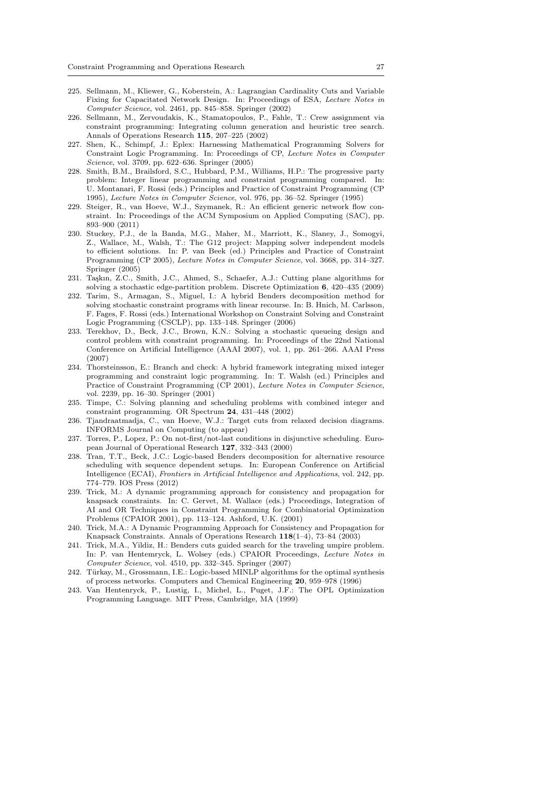- 225. Sellmann, M., Kliewer, G., Koberstein, A.: Lagrangian Cardinality Cuts and Variable Fixing for Capacitated Network Design. In: Proceedings of ESA, Lecture Notes in Computer Science, vol. 2461, pp. 845–858. Springer (2002)
- 226. Sellmann, M., Zervoudakis, K., Stamatopoulos, P., Fahle, T.: Crew assignment via constraint programming: Integrating column generation and heuristic tree search. Annals of Operations Research 115, 207–225 (2002)
- 227. Shen, K., Schimpf, J.: Eplex: Harnessing Mathematical Programming Solvers for Constraint Logic Programming. In: Proceedings of CP, Lecture Notes in Computer Science, vol. 3709, pp. 622–636. Springer (2005)
- 228. Smith, B.M., Brailsford, S.C., Hubbard, P.M., Williams, H.P.: The progressive party problem: Integer linear programming and constraint programming compared. In: U. Montanari, F. Rossi (eds.) Principles and Practice of Constraint Programming (CP 1995), Lecture Notes in Computer Science, vol. 976, pp. 36–52. Springer (1995)
- 229. Steiger, R., van Hoeve, W.J., Szymanek, R.: An efficient generic network flow constraint. In: Proceedings of the ACM Symposium on Applied Computing (SAC), pp. 893–900 (2011)
- 230. Stuckey, P.J., de la Banda, M.G., Maher, M., Marriott, K., Slaney, J., Somogyi, Z., Wallace, M., Walsh, T.: The G12 project: Mapping solver independent models to efficient solutions. In: P. van Beek (ed.) Principles and Practice of Constraint Programming (CP 2005), Lecture Notes in Computer Science, vol. 3668, pp. 314–327. Springer (2005)
- 231. Taşkın, Z.C., Smith, J.C., Ahmed, S., Schaefer, A.J.: Cutting plane algorithms for solving a stochastic edge-partition problem. Discrete Optimization 6, 420–435 (2009)
- 232. Tarim, S., Armagan, S., Miguel, I.: A hybrid Benders decomposition method for solving stochastic constraint programs with linear recourse. In: B. Hnich, M. Carlsson, F. Fages, F. Rossi (eds.) International Workshop on Constraint Solving and Constraint Logic Programming (CSCLP), pp. 133–148. Springer (2006)
- 233. Terekhov, D., Beck, J.C., Brown, K.N.: Solving a stochastic queueing design and control problem with constraint programming. In: Proceedings of the 22nd National Conference on Artificial Intelligence (AAAI 2007), vol. 1, pp. 261–266. AAAI Press (2007)
- 234. Thorsteinsson, E.: Branch and check: A hybrid framework integrating mixed integer programming and constraint logic programming. In: T. Walsh (ed.) Principles and Practice of Constraint Programming (CP 2001), Lecture Notes in Computer Science, vol. 2239, pp. 16–30. Springer (2001)
- 235. Timpe, C.: Solving planning and scheduling problems with combined integer and constraint programming. OR Spectrum 24, 431–448 (2002)
- 236. Tjandraatmadja, C., van Hoeve, W.J.: Target cuts from relaxed decision diagrams. INFORMS Journal on Computing (to appear)
- 237. Torres, P., Lopez, P.: On not-first/not-last conditions in disjunctive scheduling. European Journal of Operational Research 127, 332–343 (2000)
- 238. Tran, T.T., Beck, J.C.: Logic-based Benders decomposition for alternative resource scheduling with sequence dependent setups. In: European Conference on Artificial Intelligence (ECAI), Frontiers in Artificial Intelligence and Applications, vol. 242, pp. 774–779. IOS Press (2012)
- 239. Trick, M.: A dynamic programming approach for consistency and propagation for knapsack constraints. In: C. Gervet, M. Wallace (eds.) Proceedings, Integration of AI and OR Techniques in Constraint Programming for Combinatorial Optimization Problems (CPAIOR 2001), pp. 113–124. Ashford, U.K. (2001)
- 240. Trick, M.A.: A Dynamic Programming Approach for Consistency and Propagation for Knapsack Constraints. Annals of Operations Research 118(1–4), 73–84 (2003)
- 241. Trick, M.A., Yildiz, H.: Benders cuts guided search for the traveling umpire problem. In: P. van Hentemryck, L. Wolsey (eds.) CPAIOR Proceedings, Lecture Notes in Computer Science, vol. 4510, pp. 332–345. Springer (2007)
- 242. Türkay, M., Grossmann, I.E.: Logic-based MINLP algorithms for the optimal synthesis of process networks. Computers and Chemical Engineering 20, 959–978 (1996)
- 243. Van Hentenryck, P., Lustig, I., Michel, L., Puget, J.F.: The OPL Optimization Programming Language. MIT Press, Cambridge, MA (1999)